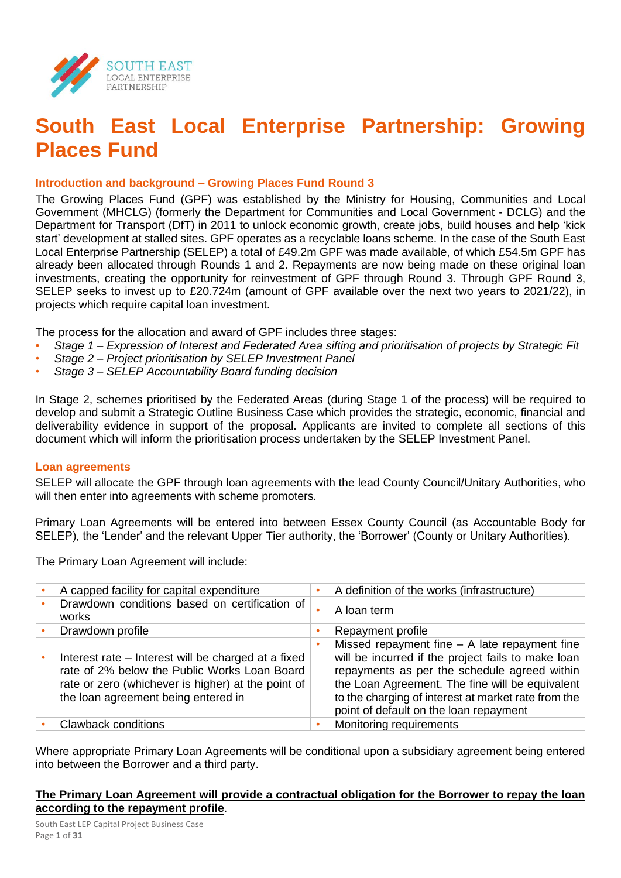

## **South East Local Enterprise Partnership: Growing Places Fund**

#### **Introduction and background – Growing Places Fund Round 3**

The Growing Places Fund (GPF) was established by the Ministry for Housing, Communities and Local Government (MHCLG) (formerly the Department for Communities and Local Government - DCLG) and the Department for Transport (DfT) in 2011 to unlock economic growth, create jobs, build houses and help 'kick start' development at stalled sites. GPF operates as a recyclable loans scheme. In the case of the South East Local Enterprise Partnership (SELEP) a total of £49.2m GPF was made available, of which £54.5m GPF has already been allocated through Rounds 1 and 2. Repayments are now being made on these original loan investments, creating the opportunity for reinvestment of GPF through Round 3. Through GPF Round 3, SELEP seeks to invest up to £20.724m (amount of GPF available over the next two years to 2021/22), in projects which require capital loan investment.

The process for the allocation and award of GPF includes three stages:

- *Stage 1 – Expression of Interest and Federated Area sifting and prioritisation of projects by Strategic Fit*
- *Stage 2 – Project prioritisation by SELEP Investment Panel*
- *Stage 3 – SELEP Accountability Board funding decision*

In Stage 2, schemes prioritised by the Federated Areas (during Stage 1 of the process) will be required to develop and submit a Strategic Outline Business Case which provides the strategic, economic, financial and deliverability evidence in support of the proposal. Applicants are invited to complete all sections of this document which will inform the prioritisation process undertaken by the SELEP Investment Panel.

#### **Loan agreements**

SELEP will allocate the GPF through loan agreements with the lead County Council/Unitary Authorities, who will then enter into agreements with scheme promoters.

Primary Loan Agreements will be entered into between Essex County Council (as Accountable Body for SELEP), the 'Lender' and the relevant Upper Tier authority, the 'Borrower' (County or Unitary Authorities).

The Primary Loan Agreement will include:

| A capped facility for capital expenditure                                                                                                                                                        | A definition of the works (infrastructure)                                                                                                                                                                                                                                                                |
|--------------------------------------------------------------------------------------------------------------------------------------------------------------------------------------------------|-----------------------------------------------------------------------------------------------------------------------------------------------------------------------------------------------------------------------------------------------------------------------------------------------------------|
| Drawdown conditions based on certification of<br>works                                                                                                                                           | A loan term                                                                                                                                                                                                                                                                                               |
| Drawdown profile                                                                                                                                                                                 | Repayment profile                                                                                                                                                                                                                                                                                         |
| Interest rate – Interest will be charged at a fixed<br>rate of 2% below the Public Works Loan Board<br>rate or zero (whichever is higher) at the point of<br>the loan agreement being entered in | Missed repayment fine $-$ A late repayment fine<br>will be incurred if the project fails to make loan<br>repayments as per the schedule agreed within<br>the Loan Agreement. The fine will be equivalent<br>to the charging of interest at market rate from the<br>point of default on the loan repayment |
| <b>Clawback conditions</b>                                                                                                                                                                       | Monitoring requirements                                                                                                                                                                                                                                                                                   |

Where appropriate Primary Loan Agreements will be conditional upon a subsidiary agreement being entered into between the Borrower and a third party.

#### **The Primary Loan Agreement will provide a contractual obligation for the Borrower to repay the loan according to the repayment profile**.

South East LEP Capital Project Business Case Page **1** of **31**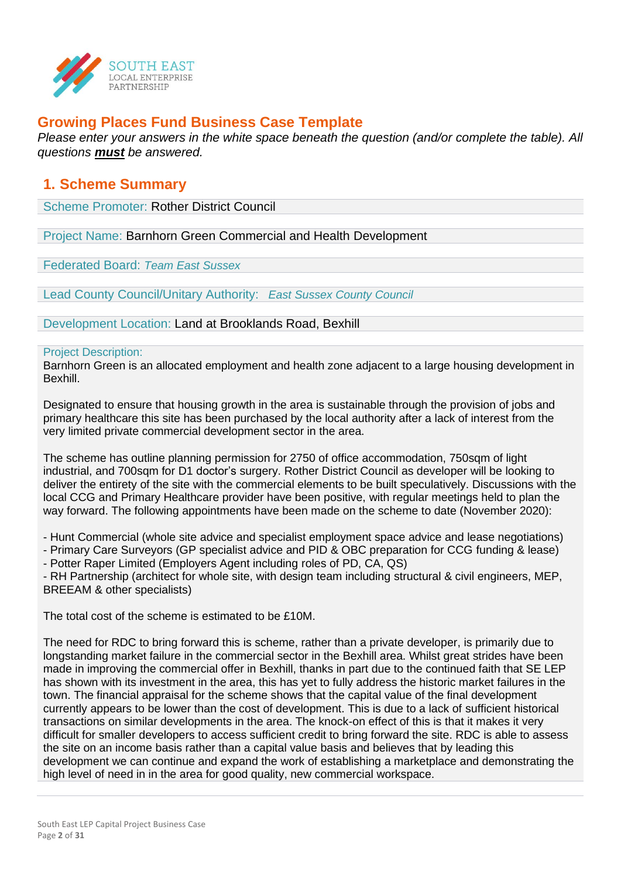

## **Growing Places Fund Business Case Template**

*Please enter your answers in the white space beneath the question (and/or complete the table). All questions must be answered.*

### **1. Scheme Summary**

Scheme Promoter: Rother District Council

Project Name: Barnhorn Green Commercial and Health Development

Federated Board: *Team East Sussex*

Lead County Council/Unitary Authority: *East Sussex County Council*

Development Location: Land at Brooklands Road, Bexhill

#### Project Description:

Barnhorn Green is an allocated employment and health zone adjacent to a large housing development in Bexhill.

Designated to ensure that housing growth in the area is sustainable through the provision of jobs and primary healthcare this site has been purchased by the local authority after a lack of interest from the very limited private commercial development sector in the area.

The scheme has outline planning permission for 2750 of office accommodation, 750sqm of light industrial, and 700sqm for D1 doctor's surgery. Rother District Council as developer will be looking to deliver the entirety of the site with the commercial elements to be built speculatively. Discussions with the local CCG and Primary Healthcare provider have been positive, with regular meetings held to plan the way forward. The following appointments have been made on the scheme to date (November 2020):

- Hunt Commercial (whole site advice and specialist employment space advice and lease negotiations)

- Primary Care Surveyors (GP specialist advice and PID & OBC preparation for CCG funding & lease)

- Potter Raper Limited (Employers Agent including roles of PD, CA, QS)

- RH Partnership (architect for whole site, with design team including structural & civil engineers, MEP, BREEAM & other specialists)

The total cost of the scheme is estimated to be £10M.

The need for RDC to bring forward this is scheme, rather than a private developer, is primarily due to longstanding market failure in the commercial sector in the Bexhill area. Whilst great strides have been made in improving the commercial offer in Bexhill, thanks in part due to the continued faith that SE LEP has shown with its investment in the area, this has yet to fully address the historic market failures in the town. The financial appraisal for the scheme shows that the capital value of the final development currently appears to be lower than the cost of development. This is due to a lack of sufficient historical transactions on similar developments in the area. The knock-on effect of this is that it makes it very difficult for smaller developers to access sufficient credit to bring forward the site. RDC is able to assess the site on an income basis rather than a capital value basis and believes that by leading this development we can continue and expand the work of establishing a marketplace and demonstrating the high level of need in in the area for good quality, new commercial workspace.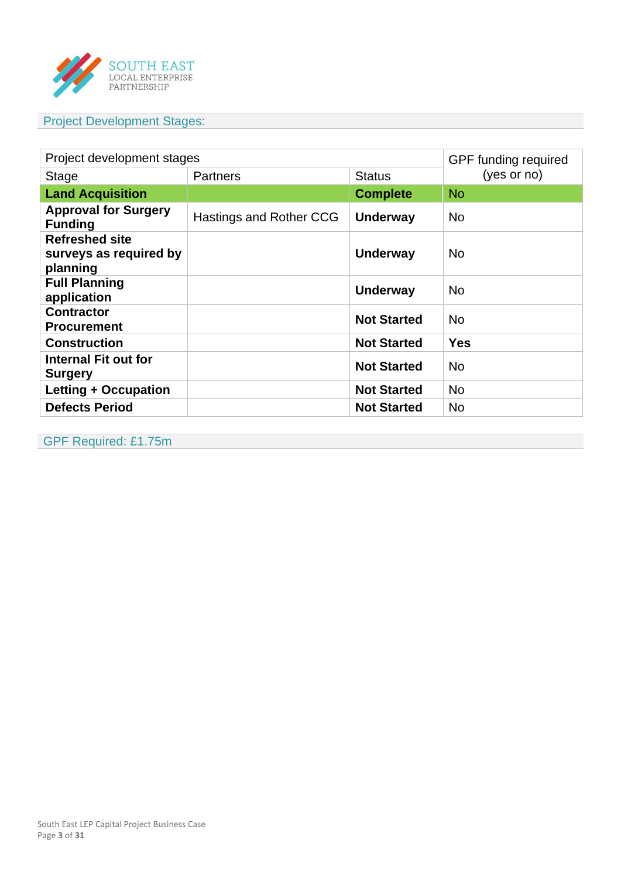

## Project Development Stages:

| Project development stages                                  | GPF funding required    |                    |            |  |  |
|-------------------------------------------------------------|-------------------------|--------------------|------------|--|--|
| <b>Stage</b>                                                | <b>Partners</b>         | <b>Status</b>      |            |  |  |
| <b>Land Acquisition</b>                                     |                         | <b>Complete</b>    | <b>No</b>  |  |  |
| <b>Approval for Surgery</b><br><b>Funding</b>               | Hastings and Rother CCG | <b>Underway</b>    | <b>No</b>  |  |  |
| <b>Refreshed site</b><br>surveys as required by<br>planning |                         | <b>Underway</b>    | <b>No</b>  |  |  |
| <b>Full Planning</b><br>application                         |                         | <b>Underway</b>    | <b>No</b>  |  |  |
| <b>Contractor</b><br><b>Procurement</b>                     |                         | <b>Not Started</b> | <b>No</b>  |  |  |
| <b>Construction</b>                                         |                         | <b>Not Started</b> | <b>Yes</b> |  |  |
| <b>Internal Fit out for</b><br><b>Surgery</b>               |                         | <b>Not Started</b> | <b>No</b>  |  |  |
| Letting + Occupation                                        |                         | <b>Not Started</b> | <b>No</b>  |  |  |
| <b>Defects Period</b>                                       |                         | <b>Not Started</b> | <b>No</b>  |  |  |

GPF Required: £1.75m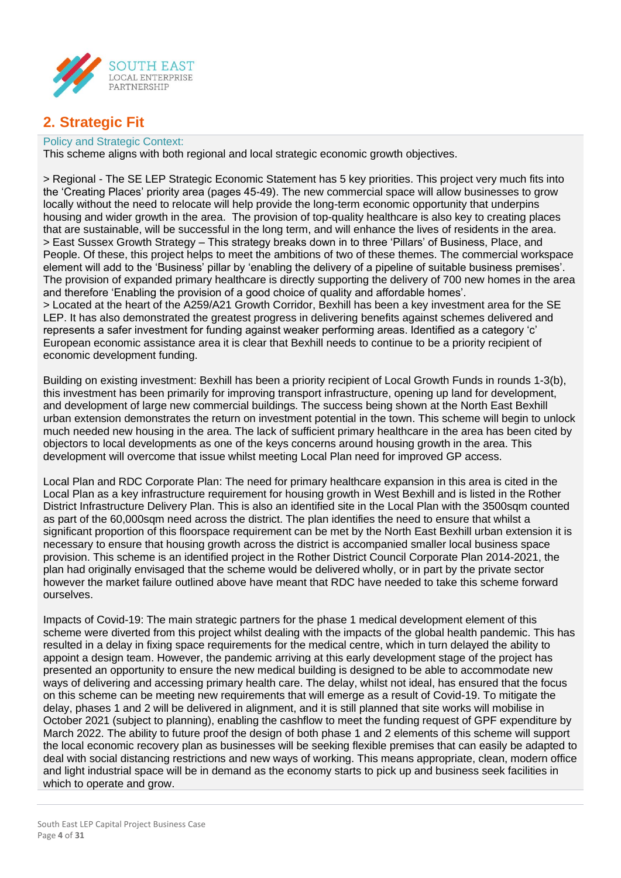

## **2. Strategic Fit**

#### Policy and Strategic Context:

This scheme aligns with both regional and local strategic economic growth objectives.

> Regional - The SE LEP Strategic Economic Statement has 5 key priorities. This project very much fits into the 'Creating Places' priority area (pages 45-49). The new commercial space will allow businesses to grow locally without the need to relocate will help provide the long-term economic opportunity that underpins housing and wider growth in the area. The provision of top-quality healthcare is also key to creating places that are sustainable, will be successful in the long term, and will enhance the lives of residents in the area. > East Sussex Growth Strategy – This strategy breaks down in to three 'Pillars' of Business, Place, and People. Of these, this project helps to meet the ambitions of two of these themes. The commercial workspace element will add to the 'Business' pillar by 'enabling the delivery of a pipeline of suitable business premises'. The provision of expanded primary healthcare is directly supporting the delivery of 700 new homes in the area and therefore 'Enabling the provision of a good choice of quality and affordable homes'. > Located at the heart of the A259/A21 Growth Corridor, Bexhill has been a key investment area for the SE LEP. It has also demonstrated the greatest progress in delivering benefits against schemes delivered and represents a safer investment for funding against weaker performing areas. Identified as a category 'c' European economic assistance area it is clear that Bexhill needs to continue to be a priority recipient of economic development funding.

Building on existing investment: Bexhill has been a priority recipient of Local Growth Funds in rounds 1-3(b), this investment has been primarily for improving transport infrastructure, opening up land for development, and development of large new commercial buildings. The success being shown at the North East Bexhill urban extension demonstrates the return on investment potential in the town. This scheme will begin to unlock much needed new housing in the area. The lack of sufficient primary healthcare in the area has been cited by objectors to local developments as one of the keys concerns around housing growth in the area. This development will overcome that issue whilst meeting Local Plan need for improved GP access.

Local Plan and RDC Corporate Plan: The need for primary healthcare expansion in this area is cited in the Local Plan as a key infrastructure requirement for housing growth in West Bexhill and is listed in the Rother District Infrastructure Delivery Plan. This is also an identified site in the Local Plan with the 3500sqm counted as part of the 60,000sqm need across the district. The plan identifies the need to ensure that whilst a significant proportion of this floorspace requirement can be met by the North East Bexhill urban extension it is necessary to ensure that housing growth across the district is accompanied smaller local business space provision. This scheme is an identified project in the Rother District Council Corporate Plan 2014-2021, the plan had originally envisaged that the scheme would be delivered wholly, or in part by the private sector however the market failure outlined above have meant that RDC have needed to take this scheme forward ourselves.

Impacts of Covid-19: The main strategic partners for the phase 1 medical development element of this scheme were diverted from this project whilst dealing with the impacts of the global health pandemic. This has resulted in a delay in fixing space requirements for the medical centre, which in turn delayed the ability to appoint a design team. However, the pandemic arriving at this early development stage of the project has presented an opportunity to ensure the new medical building is designed to be able to accommodate new ways of delivering and accessing primary health care. The delay, whilst not ideal, has ensured that the focus on this scheme can be meeting new requirements that will emerge as a result of Covid-19. To mitigate the delay, phases 1 and 2 will be delivered in alignment, and it is still planned that site works will mobilise in October 2021 (subject to planning), enabling the cashflow to meet the funding request of GPF expenditure by March 2022. The ability to future proof the design of both phase 1 and 2 elements of this scheme will support the local economic recovery plan as businesses will be seeking flexible premises that can easily be adapted to deal with social distancing restrictions and new ways of working. This means appropriate, clean, modern office and light industrial space will be in demand as the economy starts to pick up and business seek facilities in which to operate and grow.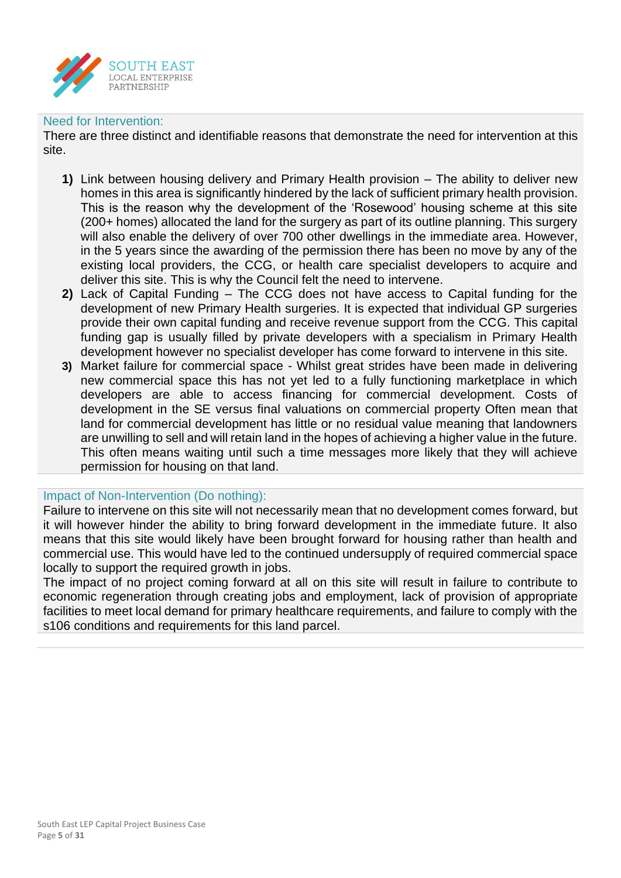

#### Need for Intervention:

There are three distinct and identifiable reasons that demonstrate the need for intervention at this site.

- **1)** Link between housing delivery and Primary Health provision The ability to deliver new homes in this area is significantly hindered by the lack of sufficient primary health provision. This is the reason why the development of the 'Rosewood' housing scheme at this site (200+ homes) allocated the land for the surgery as part of its outline planning. This surgery will also enable the delivery of over 700 other dwellings in the immediate area. However, in the 5 years since the awarding of the permission there has been no move by any of the existing local providers, the CCG, or health care specialist developers to acquire and deliver this site. This is why the Council felt the need to intervene.
- **2)** Lack of Capital Funding The CCG does not have access to Capital funding for the development of new Primary Health surgeries. It is expected that individual GP surgeries provide their own capital funding and receive revenue support from the CCG. This capital funding gap is usually filled by private developers with a specialism in Primary Health development however no specialist developer has come forward to intervene in this site.
- **3)** Market failure for commercial space Whilst great strides have been made in delivering new commercial space this has not yet led to a fully functioning marketplace in which developers are able to access financing for commercial development. Costs of development in the SE versus final valuations on commercial property Often mean that land for commercial development has little or no residual value meaning that landowners are unwilling to sell and will retain land in the hopes of achieving a higher value in the future. This often means waiting until such a time messages more likely that they will achieve permission for housing on that land.

#### Impact of Non-Intervention (Do nothing):

Failure to intervene on this site will not necessarily mean that no development comes forward, but it will however hinder the ability to bring forward development in the immediate future. It also means that this site would likely have been brought forward for housing rather than health and commercial use. This would have led to the continued undersupply of required commercial space locally to support the required growth in jobs.

The impact of no project coming forward at all on this site will result in failure to contribute to economic regeneration through creating jobs and employment, lack of provision of appropriate facilities to meet local demand for primary healthcare requirements, and failure to comply with the s106 conditions and requirements for this land parcel.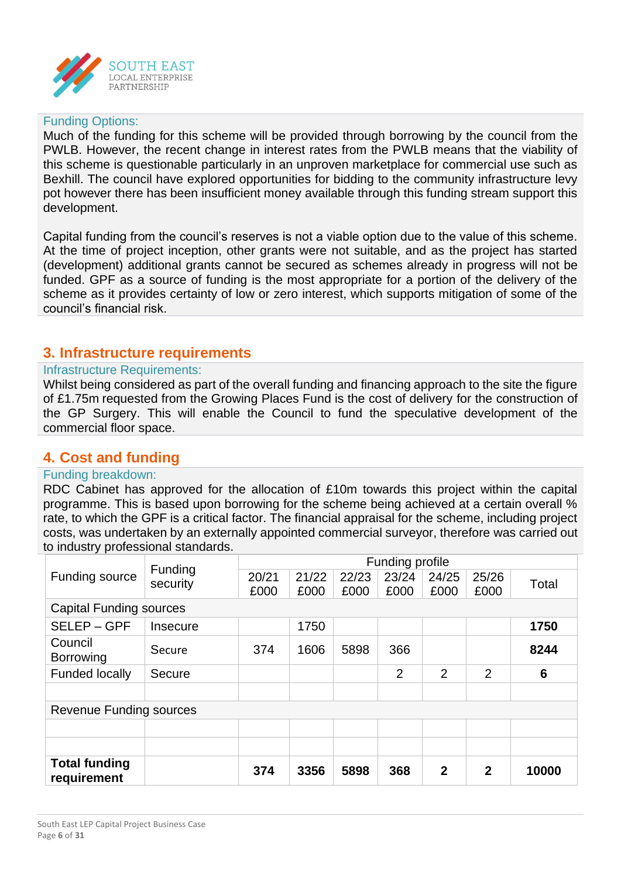

#### Funding Options:

Much of the funding for this scheme will be provided through borrowing by the council from the PWLB. However, the recent change in interest rates from the PWLB means that the viability of this scheme is questionable particularly in an unproven marketplace for commercial use such as Bexhill. The council have explored opportunities for bidding to the community infrastructure levy pot however there has been insufficient money available through this funding stream support this development.

Capital funding from the council's reserves is not a viable option due to the value of this scheme. At the time of project inception, other grants were not suitable, and as the project has started (development) additional grants cannot be secured as schemes already in progress will not be funded. GPF as a source of funding is the most appropriate for a portion of the delivery of the scheme as it provides certainty of low or zero interest, which supports mitigation of some of the council's financial risk.

#### **3. Infrastructure requirements**

#### Infrastructure Requirements:

Whilst being considered as part of the overall funding and financing approach to the site the figure of £1.75m requested from the Growing Places Fund is the cost of delivery for the construction of the GP Surgery. This will enable the Council to fund the speculative development of the commercial floor space.

## **4. Cost and funding**

#### Funding breakdown:

RDC Cabinet has approved for the allocation of £10m towards this project within the capital programme. This is based upon borrowing for the scheme being achieved at a certain overall % rate, to which the GPF is a critical factor. The financial appraisal for the scheme, including project costs, was undertaken by an externally appointed commercial surveyor, therefore was carried out to industry professional standards.

|                                     | Funding                        | Funding profile |       |       |                |                |              |       |  |  |
|-------------------------------------|--------------------------------|-----------------|-------|-------|----------------|----------------|--------------|-------|--|--|
| <b>Funding source</b>               | security                       | 20/21           | 21/22 | 22/23 | 23/24          | 24/25          | 25/26        | Total |  |  |
|                                     |                                | £000            | £000  | £000  | £000           | £000           | £000         |       |  |  |
|                                     | <b>Capital Funding sources</b> |                 |       |       |                |                |              |       |  |  |
| SELEP-GPF                           | Insecure                       |                 | 1750  |       |                |                |              | 1750  |  |  |
| Council<br><b>Borrowing</b>         | Secure                         | 374             | 1606  | 5898  | 366            |                |              | 8244  |  |  |
| <b>Funded locally</b>               | Secure                         |                 |       |       | $\overline{2}$ | $\overline{2}$ | 2            | 6     |  |  |
|                                     |                                |                 |       |       |                |                |              |       |  |  |
| <b>Revenue Funding sources</b>      |                                |                 |       |       |                |                |              |       |  |  |
|                                     |                                |                 |       |       |                |                |              |       |  |  |
|                                     |                                |                 |       |       |                |                |              |       |  |  |
| <b>Total funding</b><br>requirement |                                | 374             | 3356  | 5898  | 368            | $\mathbf 2$    | $\mathbf{2}$ | 10000 |  |  |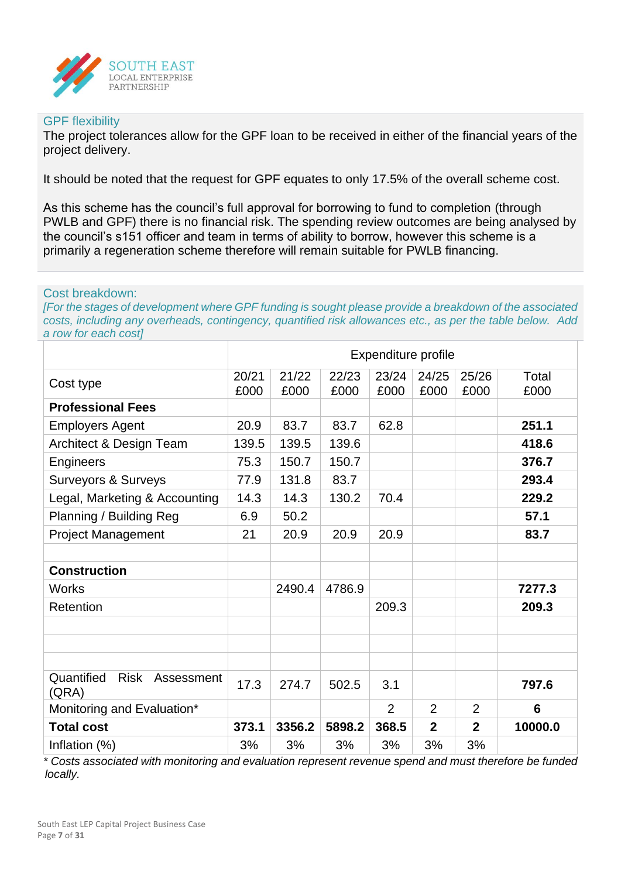

#### GPF flexibility

The project tolerances allow for the GPF loan to be received in either of the financial years of the project delivery.

It should be noted that the request for GPF equates to only 17.5% of the overall scheme cost.

As this scheme has the council's full approval for borrowing to fund to completion (through PWLB and GPF) there is no financial risk. The spending review outcomes are being analysed by the council's s151 officer and team in terms of ability to borrow, however this scheme is a primarily a regeneration scheme therefore will remain suitable for PWLB financing.

#### Cost breakdown:

*[For the stages of development where GPF funding is sought please provide a breakdown of the associated costs, including any overheads, contingency, quantified risk allowances etc., as per the table below. Add a row for each cost]*

|                                                  |               |               |               | Expenditure profile |                |                |               |
|--------------------------------------------------|---------------|---------------|---------------|---------------------|----------------|----------------|---------------|
| Cost type                                        | 20/21<br>£000 | 21/22<br>£000 | 22/23<br>£000 | 23/24<br>£000       | 24/25<br>£000  | 25/26<br>£000  | Total<br>£000 |
| <b>Professional Fees</b>                         |               |               |               |                     |                |                |               |
| <b>Employers Agent</b>                           | 20.9          | 83.7          | 83.7          | 62.8                |                |                | 251.1         |
| Architect & Design Team                          | 139.5         | 139.5         | 139.6         |                     |                |                | 418.6         |
| Engineers                                        | 75.3          | 150.7         | 150.7         |                     |                |                | 376.7         |
| <b>Surveyors &amp; Surveys</b>                   | 77.9          | 131.8         | 83.7          |                     |                |                | 293.4         |
| Legal, Marketing & Accounting                    | 14.3          | 14.3          | 130.2         | 70.4                |                |                | 229.2         |
| Planning / Building Reg                          | 6.9           | 50.2          |               |                     |                |                | 57.1          |
| <b>Project Management</b>                        | 21            | 20.9          | 20.9          | 20.9                |                |                | 83.7          |
|                                                  |               |               |               |                     |                |                |               |
| <b>Construction</b>                              |               |               |               |                     |                |                |               |
| <b>Works</b>                                     |               | 2490.4        | 4786.9        |                     |                |                | 7277.3        |
| Retention                                        |               |               |               | 209.3               |                |                | 209.3         |
|                                                  |               |               |               |                     |                |                |               |
|                                                  |               |               |               |                     |                |                |               |
|                                                  |               |               |               |                     |                |                |               |
| Quantified<br><b>Risk</b><br>Assessment<br>(QRA) | 17.3          | 274.7         | 502.5         | 3.1                 |                |                | 797.6         |
| Monitoring and Evaluation*                       |               |               |               | $\overline{2}$      | 2              | $\overline{2}$ | 6             |
| <b>Total cost</b>                                | 373.1         | 3356.2        | 5898.2        | 368.5               | $\overline{2}$ | $\overline{2}$ | 10000.0       |
| Inflation (%)                                    | 3%            | 3%            | 3%            | 3%                  | 3%             | 3%             |               |

*\* Costs associated with monitoring and evaluation represent revenue spend and must therefore be funded locally.*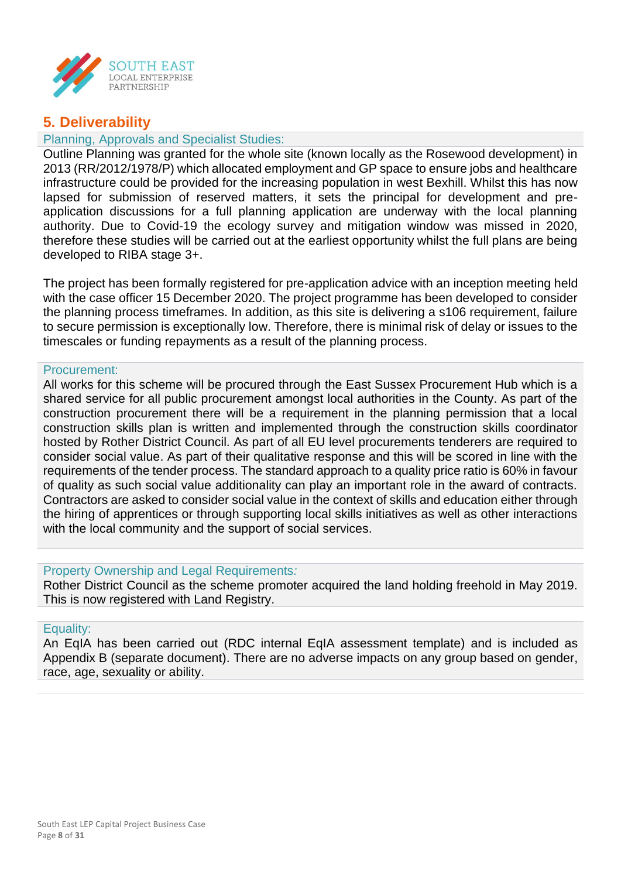

## **5. Deliverability**

#### Planning, Approvals and Specialist Studies:

Outline Planning was granted for the whole site (known locally as the Rosewood development) in 2013 (RR/2012/1978/P) which allocated employment and GP space to ensure jobs and healthcare infrastructure could be provided for the increasing population in west Bexhill. Whilst this has now lapsed for submission of reserved matters, it sets the principal for development and preapplication discussions for a full planning application are underway with the local planning authority. Due to Covid-19 the ecology survey and mitigation window was missed in 2020, therefore these studies will be carried out at the earliest opportunity whilst the full plans are being developed to RIBA stage 3+.

The project has been formally registered for pre-application advice with an inception meeting held with the case officer 15 December 2020. The project programme has been developed to consider the planning process timeframes. In addition, as this site is delivering a s106 requirement, failure to secure permission is exceptionally low. Therefore, there is minimal risk of delay or issues to the timescales or funding repayments as a result of the planning process.

#### Procurement:

All works for this scheme will be procured through the East Sussex Procurement Hub which is a shared service for all public procurement amongst local authorities in the County. As part of the construction procurement there will be a requirement in the planning permission that a local construction skills plan is written and implemented through the construction skills coordinator hosted by Rother District Council. As part of all EU level procurements tenderers are required to consider social value. As part of their qualitative response and this will be scored in line with the requirements of the tender process. The standard approach to a quality price ratio is 60% in favour of quality as such social value additionality can play an important role in the award of contracts. Contractors are asked to consider social value in the context of skills and education either through the hiring of apprentices or through supporting local skills initiatives as well as other interactions with the local community and the support of social services.

#### Property Ownership and Legal Requirements*:*

Rother District Council as the scheme promoter acquired the land holding freehold in May 2019. This is now registered with Land Registry.

#### Equality:

An EqIA has been carried out (RDC internal EqIA assessment template) and is included as Appendix B (separate document). There are no adverse impacts on any group based on gender, race, age, sexuality or ability.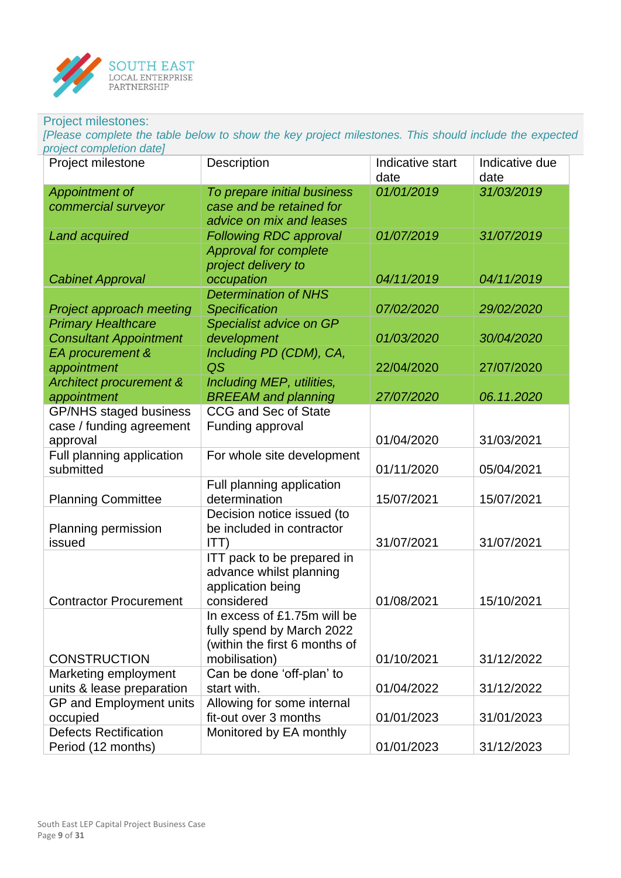

#### Project milestones:

*[Please complete the table below to show the key project milestones. This should include the expected project completion date]*

| Project milestone                                         | <b>Description</b>            | Indicative start<br>date | Indicative due<br>date |
|-----------------------------------------------------------|-------------------------------|--------------------------|------------------------|
| <b>Appointment of</b>                                     | To prepare initial business   | 01/01/2019               | 31/03/2019             |
| commercial surveyor                                       | case and be retained for      |                          |                        |
|                                                           | advice on mix and leases      |                          |                        |
| <b>Land acquired</b>                                      | <b>Following RDC approval</b> | 01/07/2019               | 31/07/2019             |
|                                                           | <b>Approval for complete</b>  |                          |                        |
|                                                           | project delivery to           |                          |                        |
| <b>Cabinet Approval</b>                                   | occupation                    | 04/11/2019               | 04/11/2019             |
|                                                           | <b>Determination of NHS</b>   |                          |                        |
| Project approach meeting                                  | <b>Specification</b>          | 07/02/2020               | 29/02/2020             |
| <b>Primary Healthcare</b>                                 | Specialist advice on GP       |                          |                        |
| <b>Consultant Appointment</b>                             | development                   | 01/03/2020               | 30/04/2020             |
| EA procurement &                                          | Including PD (CDM), CA,       |                          |                        |
| appointment                                               | QS                            | 22/04/2020               | 27/07/2020             |
| <b>Architect procurement &amp;</b>                        | Including MEP, utilities,     |                          |                        |
| appointment                                               | <b>BREEAM</b> and planning    | 27/07/2020               | 06.11.2020             |
| <b>GP/NHS staged business</b><br>case / funding agreement | <b>CCG and Sec of State</b>   |                          |                        |
|                                                           | Funding approval              | 01/04/2020               | 31/03/2021             |
| approval<br>Full planning application                     | For whole site development    |                          |                        |
| submitted                                                 |                               | 01/11/2020               | 05/04/2021             |
|                                                           | Full planning application     |                          |                        |
| <b>Planning Committee</b>                                 | determination                 | 15/07/2021               | 15/07/2021             |
|                                                           | Decision notice issued (to    |                          |                        |
| Planning permission                                       | be included in contractor     |                          |                        |
| issued                                                    | ITT)                          | 31/07/2021               | 31/07/2021             |
|                                                           | ITT pack to be prepared in    |                          |                        |
|                                                           | advance whilst planning       |                          |                        |
|                                                           | application being             |                          |                        |
| <b>Contractor Procurement</b>                             | considered                    | 01/08/2021               | 15/10/2021             |
|                                                           | In excess of £1.75m will be   |                          |                        |
|                                                           | fully spend by March 2022     |                          |                        |
|                                                           | (within the first 6 months of |                          |                        |
| <b>CONSTRUCTION</b>                                       | mobilisation)                 | 01/10/2021               | 31/12/2022             |
| Marketing employment                                      | Can be done 'off-plan' to     |                          |                        |
| units & lease preparation                                 | start with.                   | 01/04/2022               | 31/12/2022             |
| GP and Employment units                                   | Allowing for some internal    |                          |                        |
| occupied                                                  | fit-out over 3 months         | 01/01/2023               | 31/01/2023             |
| <b>Defects Rectification</b>                              | Monitored by EA monthly       |                          |                        |
| Period (12 months)                                        |                               | 01/01/2023               | 31/12/2023             |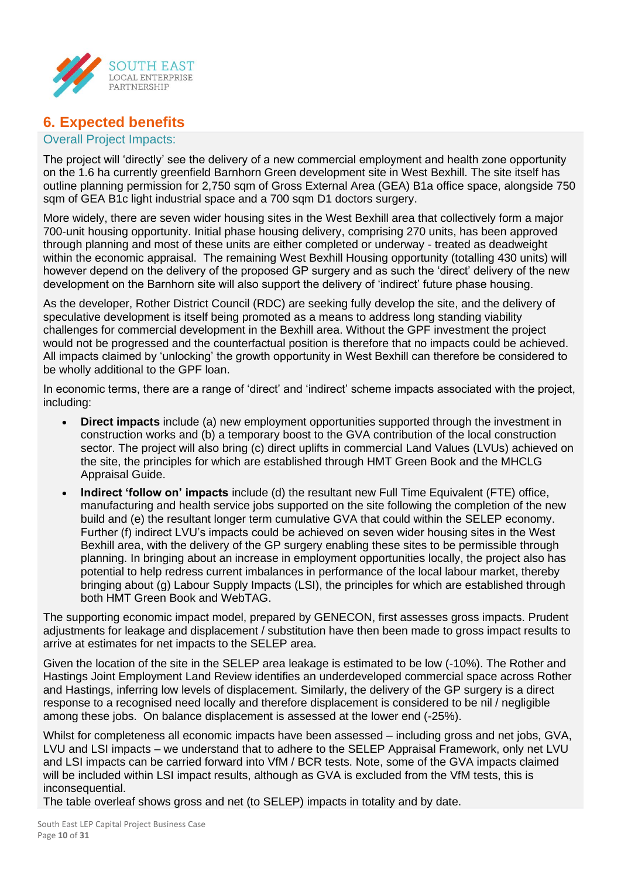

## **6. Expected benefits**

#### Overall Project Impacts:

The project will 'directly' see the delivery of a new commercial employment and health zone opportunity on the 1.6 ha currently greenfield Barnhorn Green development site in West Bexhill. The site itself has outline planning permission for 2,750 sqm of Gross External Area (GEA) B1a office space, alongside 750 sqm of GEA B1c light industrial space and a 700 sqm D1 doctors surgery.

More widely, there are seven wider housing sites in the West Bexhill area that collectively form a major 700-unit housing opportunity. Initial phase housing delivery, comprising 270 units, has been approved through planning and most of these units are either completed or underway - treated as deadweight within the economic appraisal. The remaining West Bexhill Housing opportunity (totalling 430 units) will however depend on the delivery of the proposed GP surgery and as such the 'direct' delivery of the new development on the Barnhorn site will also support the delivery of 'indirect' future phase housing.

As the developer, Rother District Council (RDC) are seeking fully develop the site, and the delivery of speculative development is itself being promoted as a means to address long standing viability challenges for commercial development in the Bexhill area. Without the GPF investment the project would not be progressed and the counterfactual position is therefore that no impacts could be achieved. All impacts claimed by 'unlocking' the growth opportunity in West Bexhill can therefore be considered to be wholly additional to the GPF loan.

In economic terms, there are a range of 'direct' and 'indirect' scheme impacts associated with the project, including:

- **Direct impacts** include (a) new employment opportunities supported through the investment in construction works and (b) a temporary boost to the GVA contribution of the local construction sector. The project will also bring (c) direct uplifts in commercial Land Values (LVUs) achieved on the site, the principles for which are established through HMT Green Book and the MHCLG Appraisal Guide.
- **Indirect 'follow on' impacts** include (d) the resultant new Full Time Equivalent (FTE) office, manufacturing and health service jobs supported on the site following the completion of the new build and (e) the resultant longer term cumulative GVA that could within the SELEP economy. Further (f) indirect LVU's impacts could be achieved on seven wider housing sites in the West Bexhill area, with the delivery of the GP surgery enabling these sites to be permissible through planning. In bringing about an increase in employment opportunities locally, the project also has potential to help redress current imbalances in performance of the local labour market, thereby bringing about (g) Labour Supply Impacts (LSI), the principles for which are established through both HMT Green Book and WebTAG.

The supporting economic impact model, prepared by GENECON, first assesses gross impacts. Prudent adjustments for leakage and displacement / substitution have then been made to gross impact results to arrive at estimates for net impacts to the SELEP area.

Given the location of the site in the SELEP area leakage is estimated to be low (-10%). The Rother and Hastings Joint Employment Land Review identifies an underdeveloped commercial space across Rother and Hastings, inferring low levels of displacement. Similarly, the delivery of the GP surgery is a direct response to a recognised need locally and therefore displacement is considered to be nil / negligible among these jobs. On balance displacement is assessed at the lower end (-25%).

Whilst for completeness all economic impacts have been assessed – including gross and net jobs, GVA, LVU and LSI impacts – we understand that to adhere to the SELEP Appraisal Framework, only net LVU and LSI impacts can be carried forward into VfM / BCR tests. Note, some of the GVA impacts claimed will be included within LSI impact results, although as GVA is excluded from the VfM tests, this is inconsequential.

The table overleaf shows gross and net (to SELEP) impacts in totality and by date.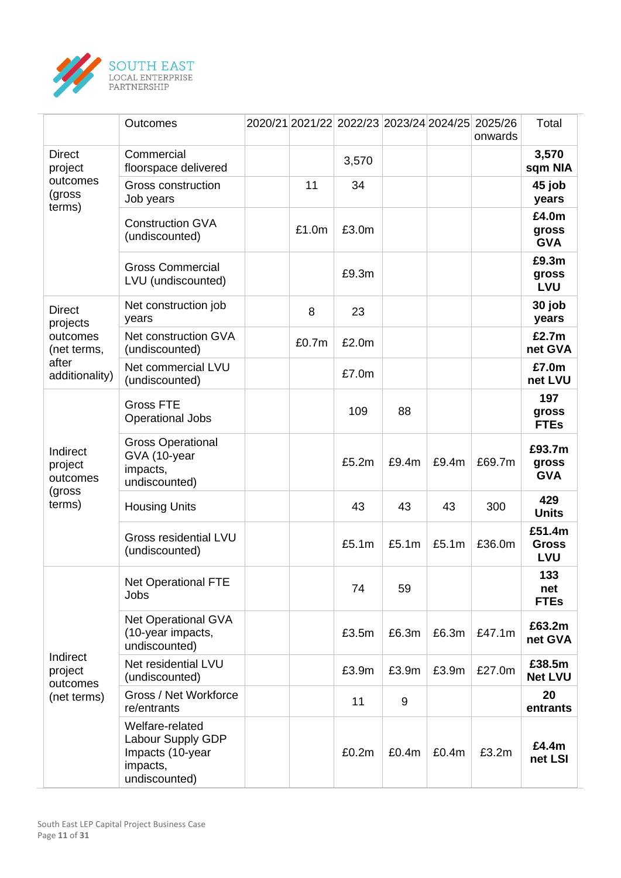

|                                                | Outcomes                                                                              |       | 2020/21 2021/22 2022/23 2023/24 2024/25 2025/26 |       |       | onwards | Total                                |
|------------------------------------------------|---------------------------------------------------------------------------------------|-------|-------------------------------------------------|-------|-------|---------|--------------------------------------|
| <b>Direct</b><br>project                       | Commercial<br>floorspace delivered                                                    |       | 3,570                                           |       |       |         | 3,570<br>sqm NIA                     |
| outcomes<br>(gross<br>terms)                   | <b>Gross construction</b><br>Job years                                                | 11    | 34                                              |       |       |         | 45 job<br>years                      |
|                                                | <b>Construction GVA</b><br>(undiscounted)                                             | £1.0m | £3.0m                                           |       |       |         | £4.0m<br>gross<br><b>GVA</b>         |
|                                                | <b>Gross Commercial</b><br>LVU (undiscounted)                                         |       | £9.3m                                           |       |       |         | £9.3m<br>gross<br><b>LVU</b>         |
| <b>Direct</b><br>projects                      | Net construction job<br>years                                                         | 8     | 23                                              |       |       |         | 30 job<br>years                      |
| outcomes<br>(net terms,                        | Net construction GVA<br>(undiscounted)                                                | £0.7m | £2.0m                                           |       |       |         | £2.7m<br>net GVA                     |
| after<br>additionality)                        | Net commercial LVU<br>(undiscounted)                                                  |       | £7.0m                                           |       |       |         | £7.0m<br>net LVU                     |
|                                                | <b>Gross FTE</b><br><b>Operational Jobs</b>                                           |       | 109                                             | 88    |       |         | 197<br>gross<br><b>FTEs</b>          |
| Indirect<br>project<br>outcomes                | <b>Gross Operational</b><br>GVA (10-year<br>impacts,<br>undiscounted)                 |       | £5.2m                                           | £9.4m | £9.4m | £69.7m  | £93.7m<br>gross<br><b>GVA</b>        |
| (gross<br>terms)                               | <b>Housing Units</b>                                                                  |       | 43                                              | 43    | 43    | 300     | 429<br><b>Units</b>                  |
|                                                | <b>Gross residential LVU</b><br>(undiscounted)                                        |       | £5.1m                                           | £5.1m | £5.1m | £36.0m  | £51.4m<br><b>Gross</b><br><b>LVU</b> |
|                                                | <b>Net Operational FTE</b><br>Jobs                                                    |       | 74                                              | 59    |       |         | 133<br>net<br><b>FTEs</b>            |
|                                                | <b>Net Operational GVA</b><br>(10-year impacts,<br>undiscounted)                      |       | £3.5m                                           | £6.3m | £6.3m | £47.1m  | £63.2m<br>net GVA                    |
| Indirect<br>project<br>outcomes<br>(net terms) | Net residential LVU<br>(undiscounted)                                                 |       | £3.9m                                           | £3.9m | £3.9m | £27.0m  | £38.5m<br><b>Net LVU</b>             |
|                                                | Gross / Net Workforce<br>re/entrants                                                  |       | 11                                              | 9     |       |         | 20<br>entrants                       |
|                                                | Welfare-related<br>Labour Supply GDP<br>Impacts (10-year<br>impacts,<br>undiscounted) |       | £0.2m                                           | £0.4m | £0.4m | £3.2m   | £4.4m<br>net LSI                     |

 $\overline{a}$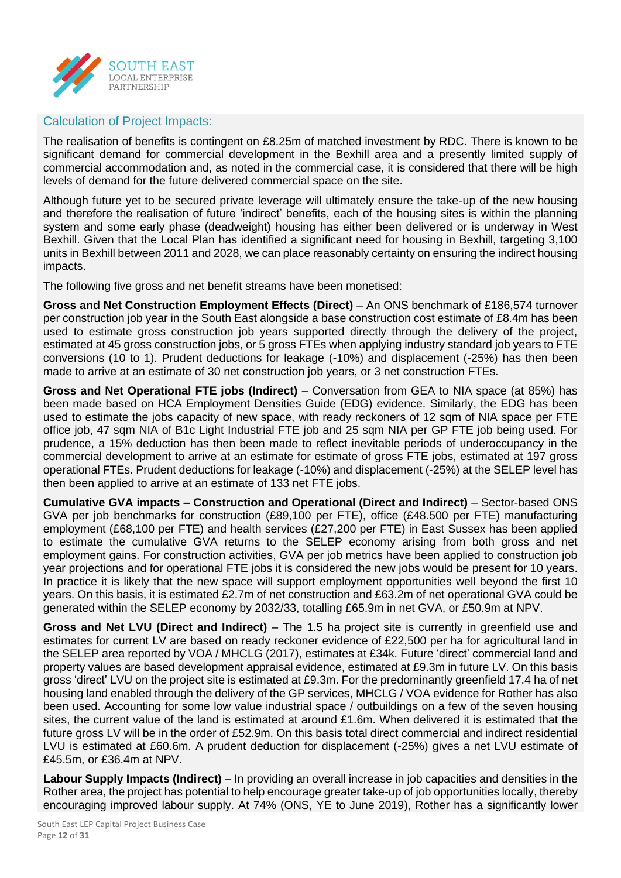

#### Calculation of Project Impacts:

The realisation of benefits is contingent on £8.25m of matched investment by RDC. There is known to be significant demand for commercial development in the Bexhill area and a presently limited supply of commercial accommodation and, as noted in the commercial case, it is considered that there will be high levels of demand for the future delivered commercial space on the site.

Although future yet to be secured private leverage will ultimately ensure the take-up of the new housing and therefore the realisation of future 'indirect' benefits, each of the housing sites is within the planning system and some early phase (deadweight) housing has either been delivered or is underway in West Bexhill. Given that the Local Plan has identified a significant need for housing in Bexhill, targeting 3,100 units in Bexhill between 2011 and 2028, we can place reasonably certainty on ensuring the indirect housing impacts.

The following five gross and net benefit streams have been monetised:

**Gross and Net Construction Employment Effects (Direct)** – An ONS benchmark of £186,574 turnover per construction job year in the South East alongside a base construction cost estimate of £8.4m has been used to estimate gross construction job years supported directly through the delivery of the project, estimated at 45 gross construction jobs, or 5 gross FTEs when applying industry standard job years to FTE conversions (10 to 1). Prudent deductions for leakage (-10%) and displacement (-25%) has then been made to arrive at an estimate of 30 net construction job years, or 3 net construction FTEs.

**Gross and Net Operational FTE jobs (Indirect)** – Conversation from GEA to NIA space (at 85%) has been made based on HCA Employment Densities Guide (EDG) evidence. Similarly, the EDG has been used to estimate the jobs capacity of new space, with ready reckoners of 12 sqm of NIA space per FTE office job, 47 sqm NIA of B1c Light Industrial FTE job and 25 sqm NIA per GP FTE job being used. For prudence, a 15% deduction has then been made to reflect inevitable periods of underoccupancy in the commercial development to arrive at an estimate for estimate of gross FTE jobs, estimated at 197 gross operational FTEs. Prudent deductions for leakage (-10%) and displacement (-25%) at the SELEP level has then been applied to arrive at an estimate of 133 net FTE jobs.

**Cumulative GVA impacts – Construction and Operational (Direct and Indirect)** – Sector-based ONS GVA per job benchmarks for construction (£89,100 per FTE), office (£48.500 per FTE) manufacturing employment (£68,100 per FTE) and health services (£27,200 per FTE) in East Sussex has been applied to estimate the cumulative GVA returns to the SELEP economy arising from both gross and net employment gains. For construction activities, GVA per job metrics have been applied to construction job year projections and for operational FTE jobs it is considered the new jobs would be present for 10 years. In practice it is likely that the new space will support employment opportunities well beyond the first 10 years. On this basis, it is estimated £2.7m of net construction and £63.2m of net operational GVA could be generated within the SELEP economy by 2032/33, totalling £65.9m in net GVA, or £50.9m at NPV.

**Gross and Net LVU (Direct and Indirect)** – The 1.5 ha project site is currently in greenfield use and estimates for current LV are based on ready reckoner evidence of £22,500 per ha for agricultural land in the SELEP area reported by VOA / MHCLG (2017), estimates at £34k. Future 'direct' commercial land and property values are based development appraisal evidence, estimated at £9.3m in future LV. On this basis gross 'direct' LVU on the project site is estimated at £9.3m. For the predominantly greenfield 17.4 ha of net housing land enabled through the delivery of the GP services, MHCLG / VOA evidence for Rother has also been used. Accounting for some low value industrial space / outbuildings on a few of the seven housing sites, the current value of the land is estimated at around £1.6m. When delivered it is estimated that the future gross LV will be in the order of £52.9m. On this basis total direct commercial and indirect residential LVU is estimated at £60.6m. A prudent deduction for displacement (-25%) gives a net LVU estimate of £45.5m, or £36.4m at NPV.

**Labour Supply Impacts (Indirect)** – In providing an overall increase in job capacities and densities in the Rother area, the project has potential to help encourage greater take-up of job opportunities locally, thereby encouraging improved labour supply. At 74% (ONS, YE to June 2019), Rother has a significantly lower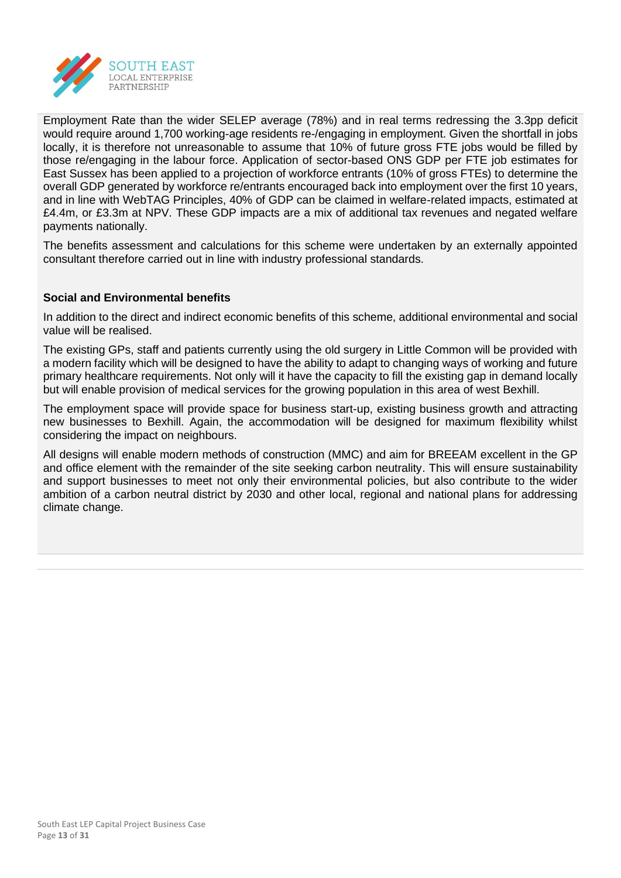

Employment Rate than the wider SELEP average (78%) and in real terms redressing the 3.3pp deficit would require around 1,700 working-age residents re-/engaging in employment. Given the shortfall in jobs locally, it is therefore not unreasonable to assume that 10% of future gross FTE jobs would be filled by those re/engaging in the labour force. Application of sector-based ONS GDP per FTE job estimates for East Sussex has been applied to a projection of workforce entrants (10% of gross FTEs) to determine the overall GDP generated by workforce re/entrants encouraged back into employment over the first 10 years, and in line with WebTAG Principles, 40% of GDP can be claimed in welfare-related impacts, estimated at £4.4m, or £3.3m at NPV. These GDP impacts are a mix of additional tax revenues and negated welfare payments nationally.

The benefits assessment and calculations for this scheme were undertaken by an externally appointed consultant therefore carried out in line with industry professional standards.

#### **Social and Environmental benefits**

In addition to the direct and indirect economic benefits of this scheme, additional environmental and social value will be realised.

The existing GPs, staff and patients currently using the old surgery in Little Common will be provided with a modern facility which will be designed to have the ability to adapt to changing ways of working and future primary healthcare requirements. Not only will it have the capacity to fill the existing gap in demand locally but will enable provision of medical services for the growing population in this area of west Bexhill.

The employment space will provide space for business start-up, existing business growth and attracting new businesses to Bexhill. Again, the accommodation will be designed for maximum flexibility whilst considering the impact on neighbours.

All designs will enable modern methods of construction (MMC) and aim for BREEAM excellent in the GP and office element with the remainder of the site seeking carbon neutrality. This will ensure sustainability and support businesses to meet not only their environmental policies, but also contribute to the wider ambition of a carbon neutral district by 2030 and other local, regional and national plans for addressing climate change.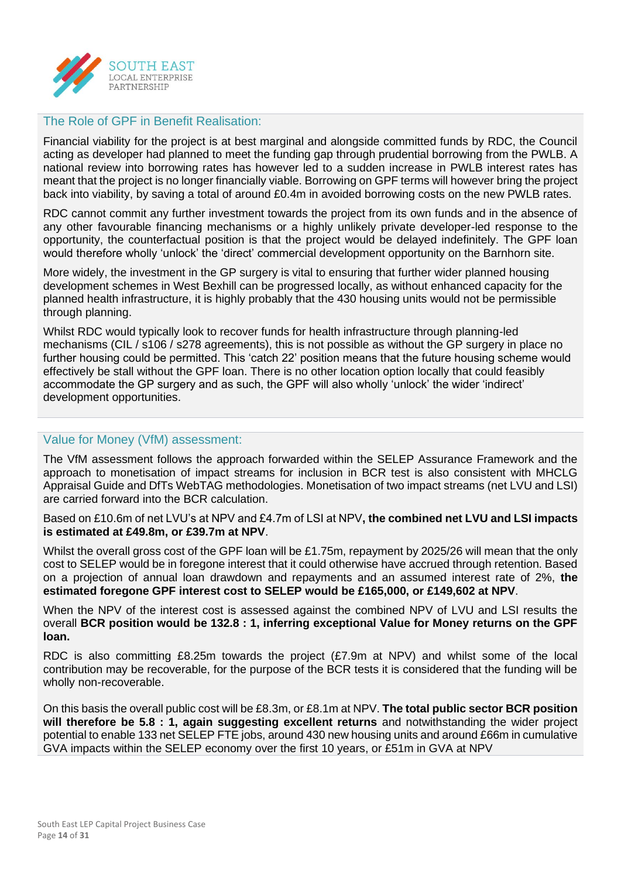

#### The Role of GPF in Benefit Realisation:

Financial viability for the project is at best marginal and alongside committed funds by RDC, the Council acting as developer had planned to meet the funding gap through prudential borrowing from the PWLB. A national review into borrowing rates has however led to a sudden increase in PWLB interest rates has meant that the project is no longer financially viable. Borrowing on GPF terms will however bring the project back into viability, by saving a total of around £0.4m in avoided borrowing costs on the new PWLB rates.

RDC cannot commit any further investment towards the project from its own funds and in the absence of any other favourable financing mechanisms or a highly unlikely private developer-led response to the opportunity, the counterfactual position is that the project would be delayed indefinitely. The GPF loan would therefore wholly 'unlock' the 'direct' commercial development opportunity on the Barnhorn site.

More widely, the investment in the GP surgery is vital to ensuring that further wider planned housing development schemes in West Bexhill can be progressed locally, as without enhanced capacity for the planned health infrastructure, it is highly probably that the 430 housing units would not be permissible through planning.

Whilst RDC would typically look to recover funds for health infrastructure through planning-led mechanisms (CIL / s106 / s278 agreements), this is not possible as without the GP surgery in place no further housing could be permitted. This 'catch 22' position means that the future housing scheme would effectively be stall without the GPF loan. There is no other location option locally that could feasibly accommodate the GP surgery and as such, the GPF will also wholly 'unlock' the wider 'indirect' development opportunities.

#### Value for Money (VfM) assessment:

The VfM assessment follows the approach forwarded within the SELEP Assurance Framework and the approach to monetisation of impact streams for inclusion in BCR test is also consistent with MHCLG Appraisal Guide and DfTs WebTAG methodologies. Monetisation of two impact streams (net LVU and LSI) are carried forward into the BCR calculation.

Based on £10.6m of net LVU's at NPV and £4.7m of LSI at NPV**, the combined net LVU and LSI impacts is estimated at £49.8m, or £39.7m at NPV**.

Whilst the overall gross cost of the GPF loan will be £1.75m, repayment by 2025/26 will mean that the only cost to SELEP would be in foregone interest that it could otherwise have accrued through retention. Based on a projection of annual loan drawdown and repayments and an assumed interest rate of 2%, **the estimated foregone GPF interest cost to SELEP would be £165,000, or £149,602 at NPV**.

When the NPV of the interest cost is assessed against the combined NPV of LVU and LSI results the overall **BCR position would be 132.8 : 1, inferring exceptional Value for Money returns on the GPF loan.** 

RDC is also committing £8.25m towards the project (£7.9m at NPV) and whilst some of the local contribution may be recoverable, for the purpose of the BCR tests it is considered that the funding will be wholly non-recoverable.

On this basis the overall public cost will be £8.3m, or £8.1m at NPV. **The total public sector BCR position will therefore be 5.8 : 1, again suggesting excellent returns** and notwithstanding the wider project potential to enable 133 net SELEP FTE jobs, around 430 new housing units and around £66m in cumulative GVA impacts within the SELEP economy over the first 10 years, or £51m in GVA at NPV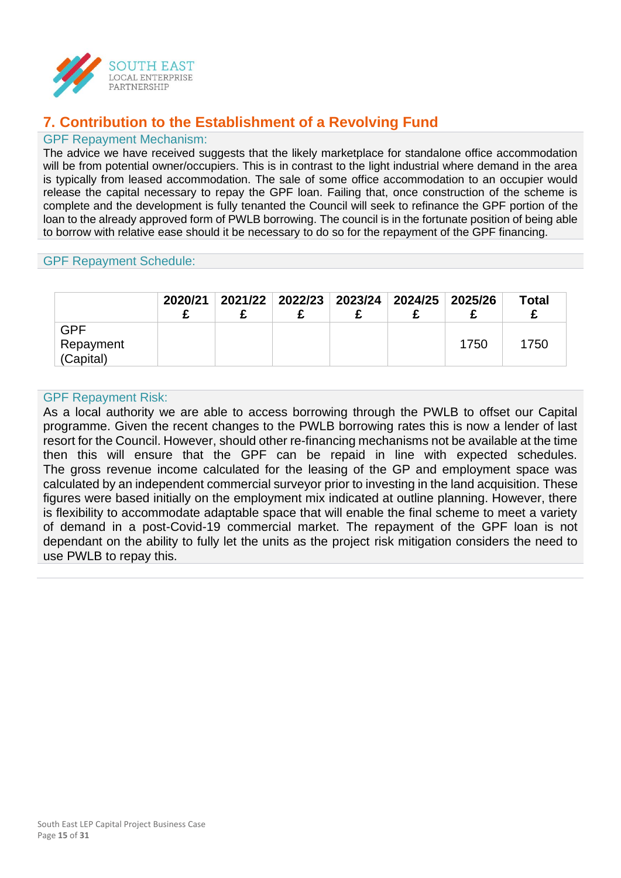

## **7. Contribution to the Establishment of a Revolving Fund**

#### GPF Repayment Mechanism:

The advice we have received suggests that the likely marketplace for standalone office accommodation will be from potential owner/occupiers. This is in contrast to the light industrial where demand in the area is typically from leased accommodation. The sale of some office accommodation to an occupier would release the capital necessary to repay the GPF loan. Failing that, once construction of the scheme is complete and the development is fully tenanted the Council will seek to refinance the GPF portion of the loan to the already approved form of PWLB borrowing. The council is in the fortunate position of being able to borrow with relative ease should it be necessary to do so for the repayment of the GPF financing.

#### GPF Repayment Schedule:

|           | 2020/21 | 2021/22 2022/23 2023/24 2024/25 2025/26 |  |      | <b>Total</b> |
|-----------|---------|-----------------------------------------|--|------|--------------|
| GPF       |         |                                         |  |      |              |
| Repayment |         |                                         |  | 1750 | 1750         |
| (Capital) |         |                                         |  |      |              |

#### GPF Repayment Risk:

As a local authority we are able to access borrowing through the PWLB to offset our Capital programme. Given the recent changes to the PWLB borrowing rates this is now a lender of last resort for the Council. However, should other re-financing mechanisms not be available at the time then this will ensure that the GPF can be repaid in line with expected schedules. The gross revenue income calculated for the leasing of the GP and employment space was calculated by an independent commercial surveyor prior to investing in the land acquisition. These figures were based initially on the employment mix indicated at outline planning. However, there is flexibility to accommodate adaptable space that will enable the final scheme to meet a variety of demand in a post-Covid-19 commercial market. The repayment of the GPF loan is not dependant on the ability to fully let the units as the project risk mitigation considers the need to use PWLB to repay this.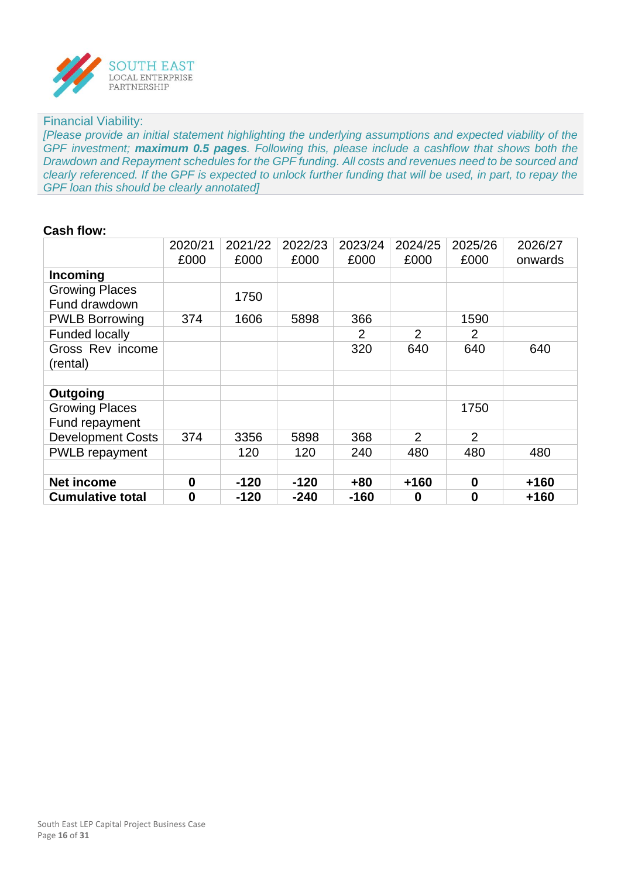

#### Financial Viability:

*[Please provide an initial statement highlighting the underlying assumptions and expected viability of the GPF investment; maximum 0.5 pages. Following this, please include a cashflow that shows both the Drawdown and Repayment schedules for the GPF funding. All costs and revenues need to be sourced and clearly referenced. If the GPF is expected to unlock further funding that will be used, in part, to repay the GPF loan this should be clearly annotated]*

#### **Cash flow:**

|                                         | 2020/21  | 2021/22 | 2022/23 | 2023/24 | 2024/25        | 2025/26        | 2026/27 |
|-----------------------------------------|----------|---------|---------|---------|----------------|----------------|---------|
|                                         | £000     | £000    | £000    | £000    | £000           | £000           | onwards |
| Incoming                                |          |         |         |         |                |                |         |
| <b>Growing Places</b><br>Fund drawdown  |          | 1750    |         |         |                |                |         |
| <b>PWLB Borrowing</b>                   | 374      | 1606    | 5898    | 366     |                | 1590           |         |
| <b>Funded locally</b>                   |          |         |         | 2       | $\overline{2}$ | 2              |         |
| Gross Rev income<br>(rental)            |          |         |         | 320     | 640            | 640            | 640     |
| Outgoing                                |          |         |         |         |                |                |         |
| <b>Growing Places</b><br>Fund repayment |          |         |         |         |                | 1750           |         |
| <b>Development Costs</b>                | 374      | 3356    | 5898    | 368     | $\overline{2}$ | $\overline{2}$ |         |
| <b>PWLB</b> repayment                   |          | 120     | 120     | 240     | 480            | 480            | 480     |
|                                         |          |         |         |         |                |                |         |
| <b>Net income</b>                       | $\bf{0}$ | $-120$  | $-120$  | $+80$   | $+160$         | $\bf{0}$       | $+160$  |
| <b>Cumulative total</b>                 | $\bf{0}$ | $-120$  | $-240$  | $-160$  | 0              | 0              | $+160$  |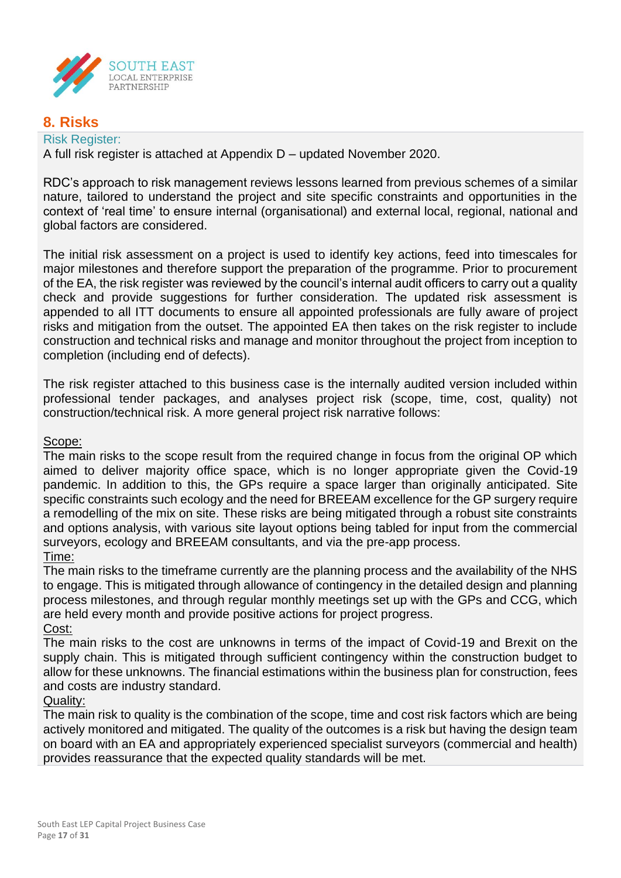

## **8. Risks**

Risk Register: A full risk register is attached at Appendix D – updated November 2020.

RDC's approach to risk management reviews lessons learned from previous schemes of a similar nature, tailored to understand the project and site specific constraints and opportunities in the context of 'real time' to ensure internal (organisational) and external local, regional, national and global factors are considered.

The initial risk assessment on a project is used to identify key actions, feed into timescales for major milestones and therefore support the preparation of the programme. Prior to procurement of the EA, the risk register was reviewed by the council's internal audit officers to carry out a quality check and provide suggestions for further consideration. The updated risk assessment is appended to all ITT documents to ensure all appointed professionals are fully aware of project risks and mitigation from the outset. The appointed EA then takes on the risk register to include construction and technical risks and manage and monitor throughout the project from inception to completion (including end of defects).

The risk register attached to this business case is the internally audited version included within professional tender packages, and analyses project risk (scope, time, cost, quality) not construction/technical risk. A more general project risk narrative follows:

#### Scope:

The main risks to the scope result from the required change in focus from the original OP which aimed to deliver majority office space, which is no longer appropriate given the Covid-19 pandemic. In addition to this, the GPs require a space larger than originally anticipated. Site specific constraints such ecology and the need for BREEAM excellence for the GP surgery require a remodelling of the mix on site. These risks are being mitigated through a robust site constraints and options analysis, with various site layout options being tabled for input from the commercial surveyors, ecology and BREEAM consultants, and via the pre-app process. Time:

The main risks to the timeframe currently are the planning process and the availability of the NHS to engage. This is mitigated through allowance of contingency in the detailed design and planning process milestones, and through regular monthly meetings set up with the GPs and CCG, which are held every month and provide positive actions for project progress.

Cost: The main risks to the cost are unknowns in terms of the impact of Covid-19 and Brexit on the supply chain. This is mitigated through sufficient contingency within the construction budget to allow for these unknowns. The financial estimations within the business plan for construction, fees and costs are industry standard.

#### Quality:

The main risk to quality is the combination of the scope, time and cost risk factors which are being actively monitored and mitigated. The quality of the outcomes is a risk but having the design team on board with an EA and appropriately experienced specialist surveyors (commercial and health) provides reassurance that the expected quality standards will be met.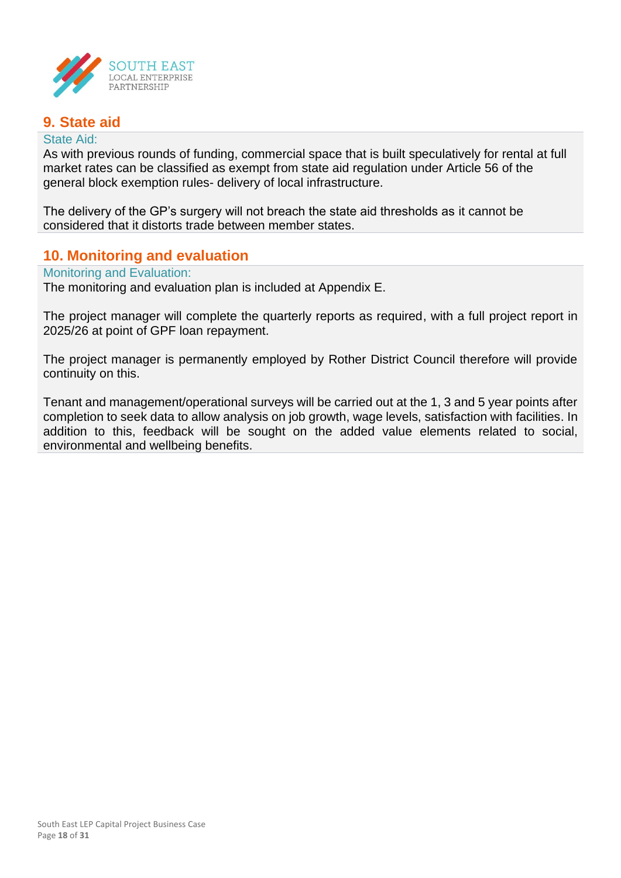

## **9. State aid**

#### State Aid:

As with previous rounds of funding, commercial space that is built speculatively for rental at full market rates can be classified as exempt from state aid regulation under Article 56 of the general block exemption rules- delivery of local infrastructure.

The delivery of the GP's surgery will not breach the state aid thresholds as it cannot be considered that it distorts trade between member states.

#### **10. Monitoring and evaluation**

#### Monitoring and Evaluation:

The monitoring and evaluation plan is included at Appendix E.

The project manager will complete the quarterly reports as required, with a full project report in 2025/26 at point of GPF loan repayment.

The project manager is permanently employed by Rother District Council therefore will provide continuity on this.

Tenant and management/operational surveys will be carried out at the 1, 3 and 5 year points after completion to seek data to allow analysis on job growth, wage levels, satisfaction with facilities. In addition to this, feedback will be sought on the added value elements related to social, environmental and wellbeing benefits.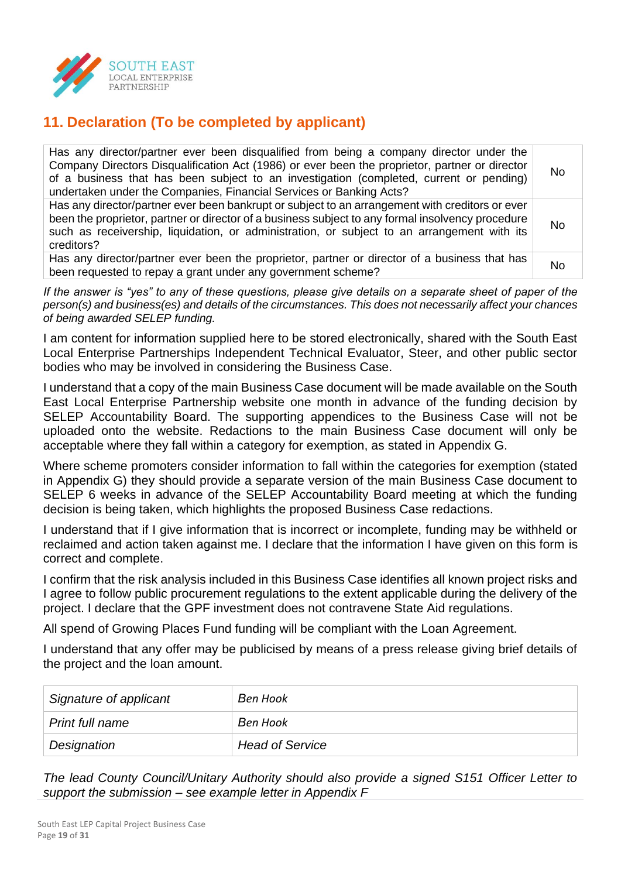

## **11. Declaration (To be completed by applicant)**

| Has any director/partner ever been disqualified from being a company director under the<br>Company Directors Disqualification Act (1986) or ever been the proprietor, partner or director<br>of a business that has been subject to an investigation (completed, current or pending)<br>undertaken under the Companies, Financial Services or Banking Acts? | No. |
|-------------------------------------------------------------------------------------------------------------------------------------------------------------------------------------------------------------------------------------------------------------------------------------------------------------------------------------------------------------|-----|
| Has any director/partner ever been bankrupt or subject to an arrangement with creditors or ever<br>been the proprietor, partner or director of a business subject to any formal insolvency procedure<br>such as receivership, liquidation, or administration, or subject to an arrangement with its<br>creditors?                                           | No  |
| Has any director/partner ever been the proprietor, partner or director of a business that has<br>been requested to repay a grant under any government scheme?                                                                                                                                                                                               | No  |

*If the answer is "yes" to any of these questions, please give details on a separate sheet of paper of the person(s) and business(es) and details of the circumstances. This does not necessarily affect your chances of being awarded SELEP funding.*

I am content for information supplied here to be stored electronically, shared with the South East Local Enterprise Partnerships Independent Technical Evaluator, Steer, and other public sector bodies who may be involved in considering the Business Case.

I understand that a copy of the main Business Case document will be made available on the South East Local Enterprise Partnership website one month in advance of the funding decision by SELEP Accountability Board. The supporting appendices to the Business Case will not be uploaded onto the website. Redactions to the main Business Case document will only be acceptable where they fall within a category for exemption, as stated in Appendix G.

Where scheme promoters consider information to fall within the categories for exemption (stated in Appendix G) they should provide a separate version of the main Business Case document to SELEP 6 weeks in advance of the SELEP Accountability Board meeting at which the funding decision is being taken, which highlights the proposed Business Case redactions.

I understand that if I give information that is incorrect or incomplete, funding may be withheld or reclaimed and action taken against me. I declare that the information I have given on this form is correct and complete.

I confirm that the risk analysis included in this Business Case identifies all known project risks and I agree to follow public procurement regulations to the extent applicable during the delivery of the project. I declare that the GPF investment does not contravene State Aid regulations.

All spend of Growing Places Fund funding will be compliant with the Loan Agreement.

I understand that any offer may be publicised by means of a press release giving brief details of the project and the loan amount.

| Signature of applicant | Ben Hook               |
|------------------------|------------------------|
| Print full name        | Ben Hook               |
| Designation            | <b>Head of Service</b> |

*The lead County Council/Unitary Authority should also provide a signed S151 Officer Letter to support the submission – see example letter in Appendix F*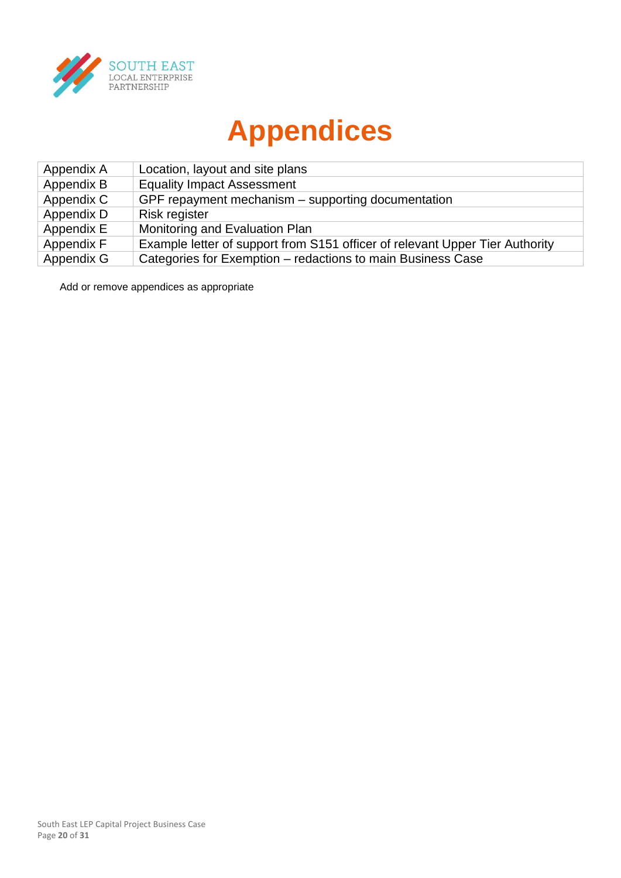

# **Appendices**

| Appendix A | Location, layout and site plans                                              |
|------------|------------------------------------------------------------------------------|
| Appendix B | <b>Equality Impact Assessment</b>                                            |
| Appendix C | GPF repayment mechanism – supporting documentation                           |
| Appendix D | <b>Risk register</b>                                                         |
| Appendix E | Monitoring and Evaluation Plan                                               |
| Appendix F | Example letter of support from S151 officer of relevant Upper Tier Authority |
| Appendix G | Categories for Exemption - redactions to main Business Case                  |

Add or remove appendices as appropriate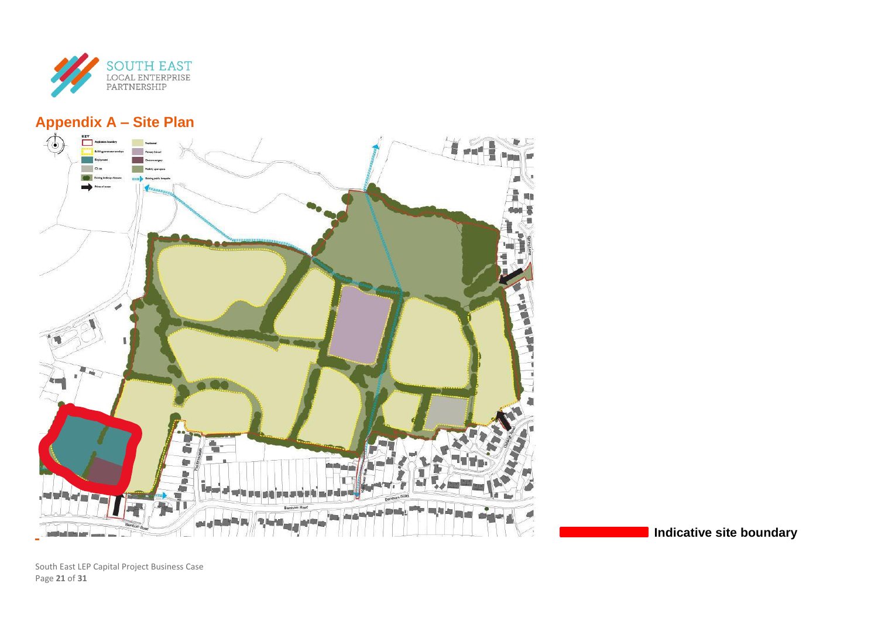

## **Appendix A – Site Plan**



**Indicative site boundary**

South East LEP Capital Project Business Case Page **21** of **31**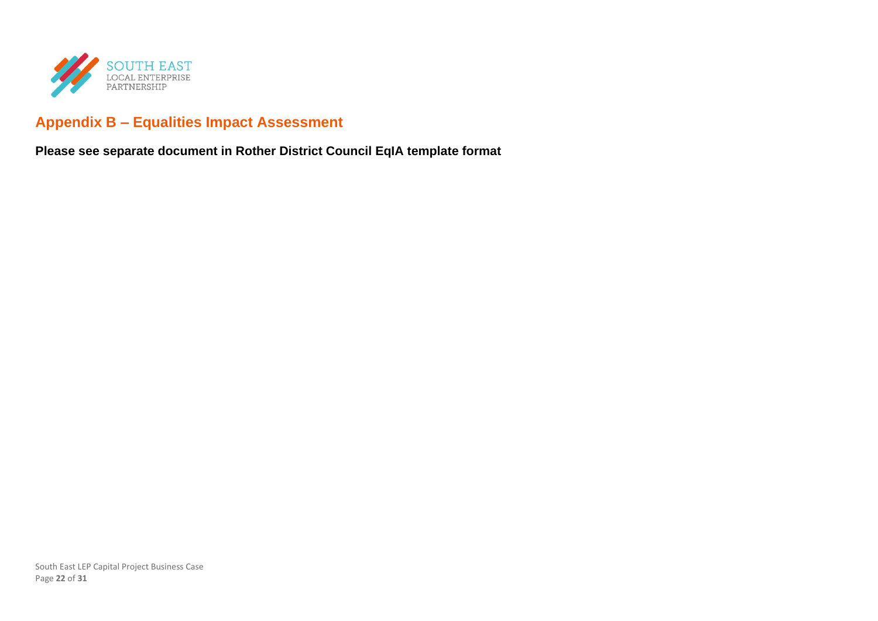

## **Appendix B – Equalities Impact Assessment**

**Please see separate document in Rother District Council EqIA template format**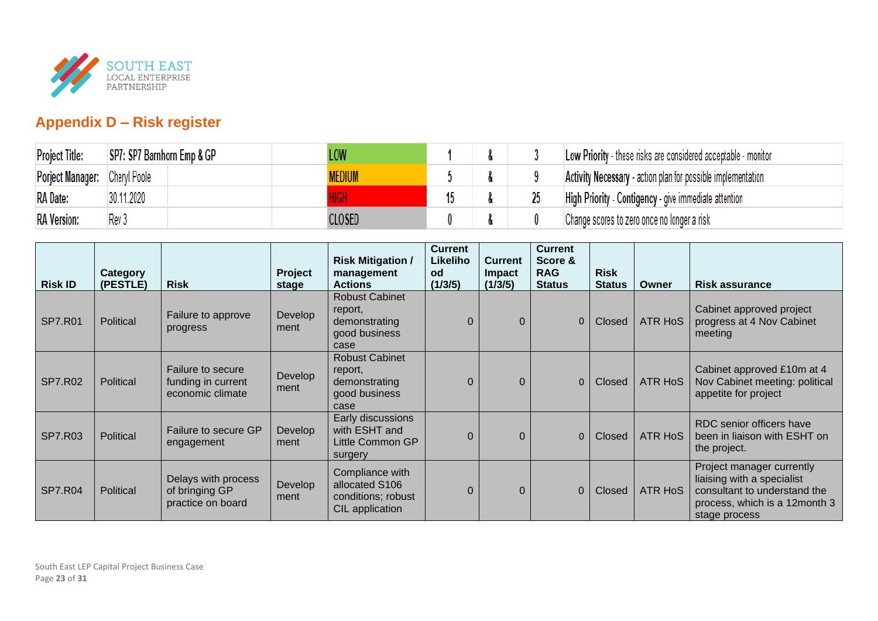

## **Appendix D – Risk register**

| <b>Project Title:</b>         | SP7: SP7 Barnhorn Emp & GP | LOW   |  | Low Priority - these risks are considered acceptable - monitor      |
|-------------------------------|----------------------------|-------|--|---------------------------------------------------------------------|
| Porject Manager: Cheryl Poole |                            |       |  | <b>Activity Necessary</b> - action plan for possible implementation |
| <b>RA</b> Date:               | 30.11.2020                 |       |  | High Priority - Contigency - give immediate attention               |
| <b>RA</b> Version:            | Rev 3                      | LOSED |  | Change scores to zero once no longer a risk                         |

| <b>Risk ID</b> | Category<br>(PESTLE) | <b>Risk</b>                                                 | Project<br>stage | <b>Risk Mitigation /</b><br>management<br><b>Actions</b>                   | <b>Current</b><br>Likeliho<br>od<br>(1/3/5) | <b>Current</b><br>Impact<br>(1/3/5) | <b>Current</b><br>Score &<br><b>RAG</b><br><b>Status</b> | <b>Risk</b><br><b>Status</b> | Owner          | <b>Risk assurance</b>                                                                                                                     |
|----------------|----------------------|-------------------------------------------------------------|------------------|----------------------------------------------------------------------------|---------------------------------------------|-------------------------------------|----------------------------------------------------------|------------------------------|----------------|-------------------------------------------------------------------------------------------------------------------------------------------|
| <b>SP7.R01</b> | Political            | Failure to approve<br>progress                              | Develop<br>ment  | <b>Robust Cabinet</b><br>report,<br>demonstrating<br>good business<br>case | $\Omega$                                    | $\Omega$                            | $\overline{0}$                                           | <b>Closed</b>                | <b>ATR HoS</b> | Cabinet approved project<br>progress at 4 Nov Cabinet<br>meeting                                                                          |
| <b>SP7.R02</b> | Political            | Failure to secure<br>funding in current<br>economic climate | Develop<br>ment  | <b>Robust Cabinet</b><br>report,<br>demonstrating<br>good business<br>case | $\Omega$                                    | $\Omega$                            | $\mathbf{0}$                                             | <b>Closed</b>                | <b>ATR HoS</b> | Cabinet approved £10m at 4<br>Nov Cabinet meeting: political<br>appetite for project                                                      |
| <b>SP7.R03</b> | Political            | Failure to secure GP<br>engagement                          | Develop<br>ment  | Early discussions<br>with ESHT and<br>Little Common GP<br>surgery          | $\Omega$                                    | $\Omega$                            | $\mathbf{0}$                                             | <b>Closed</b>                | <b>ATR HoS</b> | RDC senior officers have<br>been in liaison with ESHT on<br>the project.                                                                  |
| <b>SP7.R04</b> | Political            | Delays with process<br>of bringing GP<br>practice on board  | Develop<br>ment  | Compliance with<br>allocated S106<br>conditions; robust<br>CIL application | $\Omega$                                    | $\Omega$                            | $\overline{0}$                                           | Closed                       | <b>ATR HoS</b> | Project manager currently<br>liaising with a specialist<br>consultant to understand the<br>process, which is a 12month 3<br>stage process |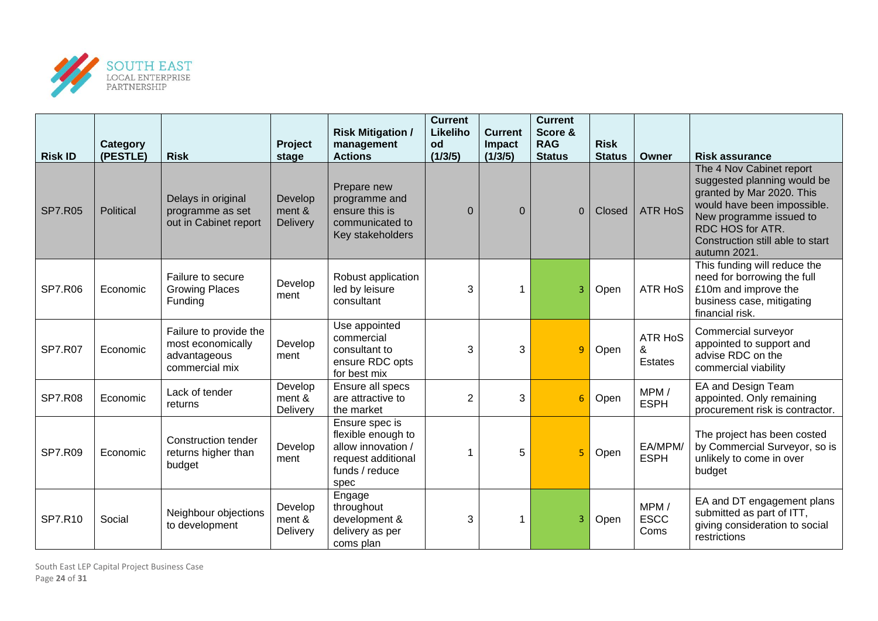

| <b>Risk ID</b> | Category<br>(PESTLE) | <b>Risk</b>                                                                   | Project<br>stage              | <b>Risk Mitigation /</b><br>management<br><b>Actions</b>                                                   | <b>Current</b><br>Likeliho<br>od<br>(1/3/5) | <b>Current</b><br><b>Impact</b><br>(1/3/5) | <b>Current</b><br>Score &<br><b>RAG</b><br><b>Status</b> | <b>Risk</b><br><b>Status</b> | Owner                          | <b>Risk assurance</b>                                                                                                                                                                                                  |
|----------------|----------------------|-------------------------------------------------------------------------------|-------------------------------|------------------------------------------------------------------------------------------------------------|---------------------------------------------|--------------------------------------------|----------------------------------------------------------|------------------------------|--------------------------------|------------------------------------------------------------------------------------------------------------------------------------------------------------------------------------------------------------------------|
| <b>SP7.R05</b> | Political            | Delays in original<br>programme as set<br>out in Cabinet report               | Develop<br>ment &<br>Delivery | Prepare new<br>programme and<br>ensure this is<br>communicated to<br>Key stakeholders                      | $\Omega$                                    | $\Omega$                                   | $\Omega$                                                 | Closed                       | <b>ATR HoS</b>                 | The 4 Nov Cabinet report<br>suggested planning would be<br>granted by Mar 2020. This<br>would have been impossible.<br>New programme issued to<br>RDC HOS for ATR.<br>Construction still able to start<br>autumn 2021. |
| <b>SP7.R06</b> | Economic             | Failure to secure<br><b>Growing Places</b><br>Funding                         | Develop<br>ment               | Robust application<br>led by leisure<br>consultant                                                         | 3                                           | 1                                          | 3                                                        | Open                         | <b>ATR HoS</b>                 | This funding will reduce the<br>need for borrowing the full<br>£10m and improve the<br>business case, mitigating<br>financial risk.                                                                                    |
| <b>SP7.R07</b> | Economic             | Failure to provide the<br>most economically<br>advantageous<br>commercial mix | Develop<br>ment               | Use appointed<br>commercial<br>consultant to<br>ensure RDC opts<br>for best mix                            | 3                                           | 3                                          | 9                                                        | Open                         | <b>ATR HoS</b><br>&<br>Estates | Commercial surveyor<br>appointed to support and<br>advise RDC on the<br>commercial viability                                                                                                                           |
| <b>SP7.R08</b> | Economic             | Lack of tender<br>returns                                                     | Develop<br>ment &<br>Delivery | Ensure all specs<br>are attractive to<br>the market                                                        | $\overline{2}$                              | 3                                          | $6\phantom{1}6$                                          | Open                         | MPM/<br><b>ESPH</b>            | EA and Design Team<br>appointed. Only remaining<br>procurement risk is contractor.                                                                                                                                     |
| <b>SP7.R09</b> | Economic             | Construction tender<br>returns higher than<br>budget                          | Develop<br>ment               | Ensure spec is<br>flexible enough to<br>allow innovation /<br>request additional<br>funds / reduce<br>spec | 1                                           | 5                                          | 5                                                        | Open                         | EA/MPM/<br><b>ESPH</b>         | The project has been costed<br>by Commercial Surveyor, so is<br>unlikely to come in over<br>budget                                                                                                                     |
| SP7.R10        | Social               | Neighbour objections<br>to development                                        | Develop<br>ment &<br>Delivery | Engage<br>throughout<br>development &<br>delivery as per<br>coms plan                                      | 3                                           | 1                                          | 3                                                        | Open                         | MPM/<br><b>ESCC</b><br>Coms    | EA and DT engagement plans<br>submitted as part of ITT,<br>giving consideration to social<br>restrictions                                                                                                              |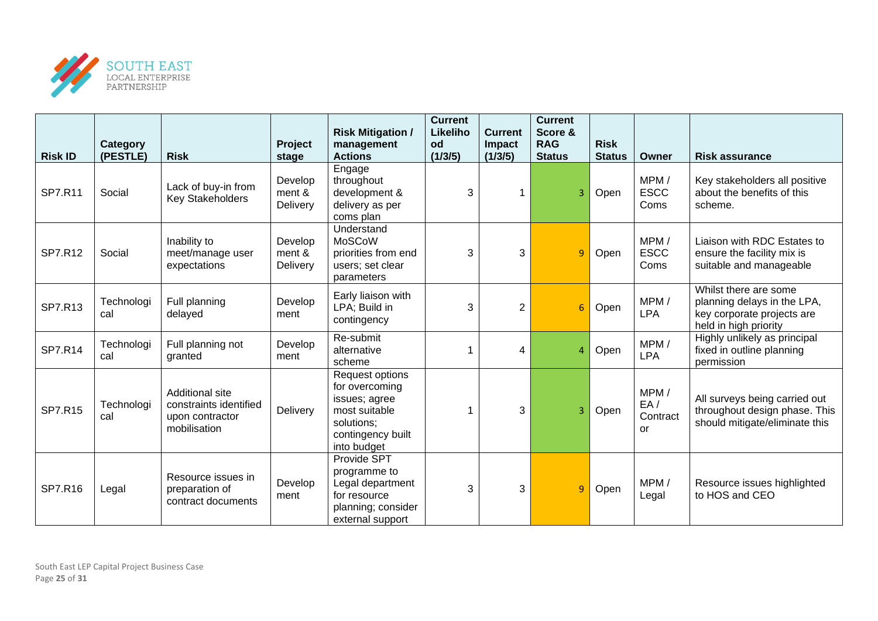

|                | Category          |                                                                                     | Project                       | <b>Risk Mitigation /</b><br>management                                                                                | <b>Current</b><br>Likeliho<br>od | <b>Current</b><br>Impact | <b>Current</b><br>Score &<br><b>RAG</b> | <b>Risk</b>   |                                      |                                                                                                             |
|----------------|-------------------|-------------------------------------------------------------------------------------|-------------------------------|-----------------------------------------------------------------------------------------------------------------------|----------------------------------|--------------------------|-----------------------------------------|---------------|--------------------------------------|-------------------------------------------------------------------------------------------------------------|
| <b>Risk ID</b> | (PESTLE)          | <b>Risk</b>                                                                         | stage                         | <b>Actions</b>                                                                                                        | (1/3/5)                          | (1/3/5)                  | <b>Status</b>                           | <b>Status</b> | Owner                                | <b>Risk assurance</b>                                                                                       |
| SP7.R11        | Social            | Lack of buy-in from<br><b>Key Stakeholders</b>                                      | Develop<br>ment &<br>Delivery | Engage<br>throughout<br>development &<br>delivery as per<br>coms plan                                                 | 3                                |                          | 3                                       | Open          | MPM/<br><b>ESCC</b><br>Coms          | Key stakeholders all positive<br>about the benefits of this<br>scheme.                                      |
| SP7.R12        | Social            | Inability to<br>meet/manage user<br>expectations                                    | Develop<br>ment &<br>Delivery | Understand<br>MoSCoW<br>priorities from end<br>users; set clear<br>parameters                                         | 3                                | 3                        | 9                                       | Open          | MPM/<br><b>ESCC</b><br>Coms          | Liaison with RDC Estates to<br>ensure the facility mix is<br>suitable and manageable                        |
| SP7.R13        | Technologi<br>cal | Full planning<br>delayed                                                            | Develop<br>ment               | Early liaison with<br>LPA; Build in<br>contingency                                                                    | 3                                | 2                        | 6                                       | Open          | MPM/<br><b>LPA</b>                   | Whilst there are some<br>planning delays in the LPA,<br>key corporate projects are<br>held in high priority |
| <b>SP7.R14</b> | Technologi<br>cal | Full planning not<br>granted                                                        | Develop<br>ment               | Re-submit<br>alternative<br>scheme                                                                                    | 1                                | 4                        | 4                                       | Open          | MPM/<br>LPA                          | Highly unlikely as principal<br>fixed in outline planning<br>permission                                     |
| <b>SP7.R15</b> | Technologi<br>cal | <b>Additional site</b><br>constraints identified<br>upon contractor<br>mobilisation | Delivery                      | Request options<br>for overcoming<br>issues; agree<br>most suitable<br>solutions;<br>contingency built<br>into budget | 1                                | 3                        | 3                                       | Open          | MPM/<br>EA/<br>Contract<br><b>or</b> | All surveys being carried out<br>throughout design phase. This<br>should mitigate/eliminate this            |
| SP7.R16        | Legal             | Resource issues in<br>preparation of<br>contract documents                          | Develop<br>ment               | Provide SPT<br>programme to<br>Legal department<br>for resource<br>planning; consider<br>external support             | 3                                | 3                        | 9                                       | Open          | MPM/<br>Legal                        | Resource issues highlighted<br>to HOS and CEO                                                               |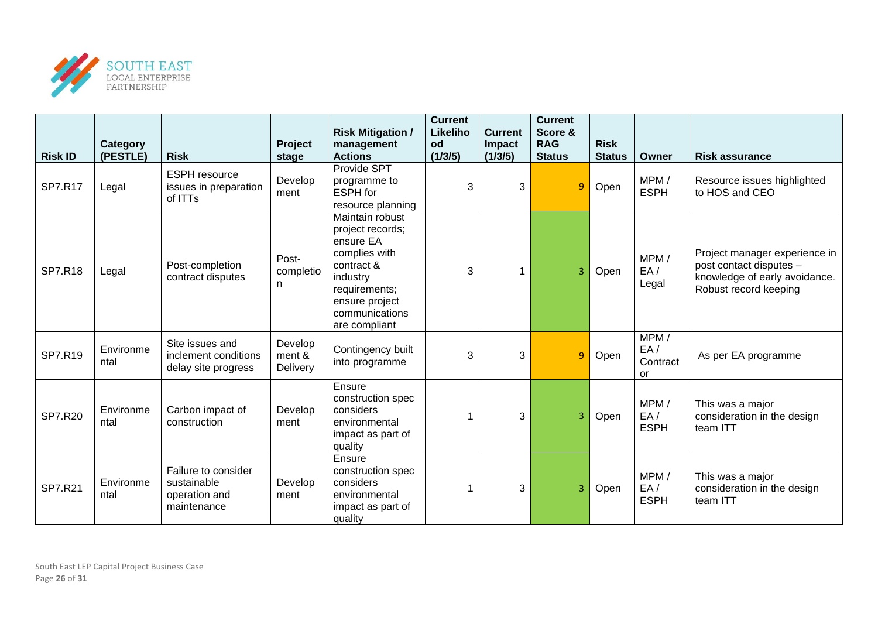

| <b>Risk ID</b> | Category<br>(PESTLE) | <b>Risk</b>                                                        | Project<br>stage              | <b>Risk Mitigation /</b><br>management<br><b>Actions</b>                                                                                                          | <b>Current</b><br>Likeliho<br>od<br>(1/3/5) | <b>Current</b><br>Impact<br>(1/3/5) | <b>Current</b><br>Score &<br><b>RAG</b><br><b>Status</b> | <b>Risk</b><br><b>Status</b> | Owner                         | <b>Risk assurance</b>                                                                                              |
|----------------|----------------------|--------------------------------------------------------------------|-------------------------------|-------------------------------------------------------------------------------------------------------------------------------------------------------------------|---------------------------------------------|-------------------------------------|----------------------------------------------------------|------------------------------|-------------------------------|--------------------------------------------------------------------------------------------------------------------|
| <b>SP7.R17</b> | Legal                | <b>ESPH</b> resource<br>issues in preparation<br>of ITTs           | Develop<br>ment               | Provide SPT<br>programme to<br><b>ESPH</b> for<br>resource planning                                                                                               | 3                                           | 3                                   | 9                                                        | Open                         | MPM/<br><b>ESPH</b>           | Resource issues highlighted<br>to HOS and CEO                                                                      |
| <b>SP7.R18</b> | Legal                | Post-completion<br>contract disputes                               | Post-<br>completio<br>n       | Maintain robust<br>project records;<br>ensure EA<br>complies with<br>contract &<br>industry<br>requirements;<br>ensure project<br>communications<br>are compliant | 3                                           | 1                                   | 3                                                        | Open                         | MPM/<br>EA/<br>Legal          | Project manager experience in<br>post contact disputes -<br>knowledge of early avoidance.<br>Robust record keeping |
| SP7.R19        | Environme<br>ntal    | Site issues and<br>inclement conditions<br>delay site progress     | Develop<br>ment &<br>Delivery | Contingency built<br>into programme                                                                                                                               | 3                                           | 3                                   | 9                                                        | Open                         | MPM/<br>EA/<br>Contract<br>or | As per EA programme                                                                                                |
| <b>SP7.R20</b> | Environme<br>ntal    | Carbon impact of<br>construction                                   | Develop<br>ment               | Ensure<br>construction spec<br>considers<br>environmental<br>impact as part of<br>quality                                                                         |                                             | 3                                   | 3                                                        | Open                         | MPM/<br>EA/<br><b>ESPH</b>    | This was a major<br>consideration in the design<br>team ITT                                                        |
| <b>SP7.R21</b> | Environme<br>ntal    | Failure to consider<br>sustainable<br>operation and<br>maintenance | Develop<br>ment               | Ensure<br>construction spec<br>considers<br>environmental<br>impact as part of<br>quality                                                                         |                                             | 3                                   | 3                                                        | Open                         | MPM/<br>EA/<br><b>ESPH</b>    | This was a major<br>consideration in the design<br>team ITT                                                        |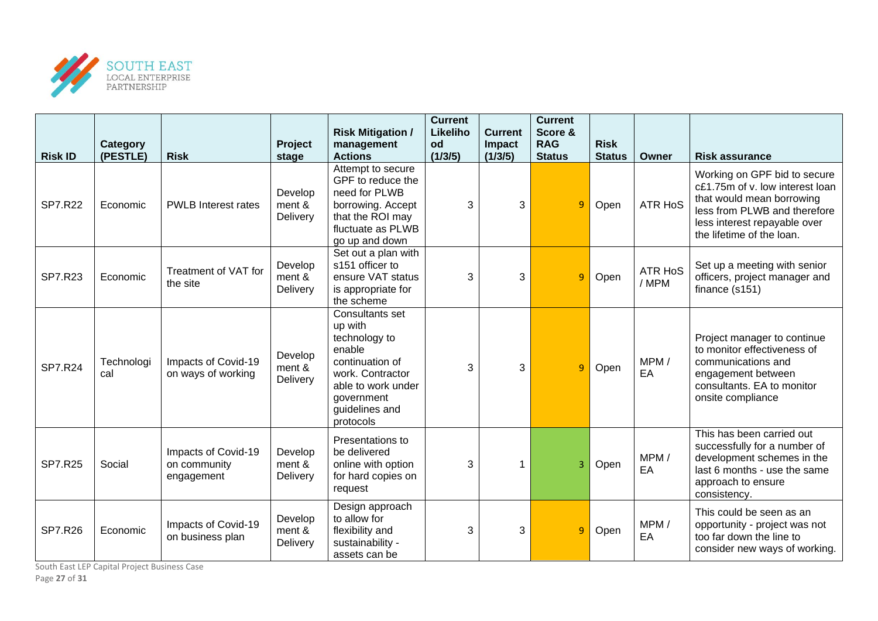

| <b>Risk ID</b> | Category<br>(PESTLE) | <b>Risk</b>                                       | Project<br>stage              | <b>Risk Mitigation /</b><br>management<br><b>Actions</b>                                                                                                               | <b>Current</b><br>Likeliho<br>od<br>(1/3/5) | <b>Current</b><br>Impact<br>(1/3/5) | <b>Current</b><br>Score &<br><b>RAG</b><br><b>Status</b> | <b>Risk</b><br><b>Status</b> | Owner                  | <b>Risk assurance</b>                                                                                                                                                                     |
|----------------|----------------------|---------------------------------------------------|-------------------------------|------------------------------------------------------------------------------------------------------------------------------------------------------------------------|---------------------------------------------|-------------------------------------|----------------------------------------------------------|------------------------------|------------------------|-------------------------------------------------------------------------------------------------------------------------------------------------------------------------------------------|
| <b>SP7.R22</b> | Economic             | <b>PWLB</b> Interest rates                        | Develop<br>ment &<br>Delivery | Attempt to secure<br>GPF to reduce the<br>need for PLWB<br>borrowing. Accept<br>that the ROI may<br>fluctuate as PLWB<br>go up and down                                | 3                                           | 3                                   | $\overline{9}$                                           | Open                         | <b>ATR HoS</b>         | Working on GPF bid to secure<br>c£1.75m of v. low interest loan<br>that would mean borrowing<br>less from PLWB and therefore<br>less interest repayable over<br>the lifetime of the loan. |
| <b>SP7.R23</b> | Economic             | Treatment of VAT for<br>the site                  | Develop<br>ment &<br>Delivery | Set out a plan with<br>s151 officer to<br>ensure VAT status<br>is appropriate for<br>the scheme                                                                        | 3                                           | 3                                   | $\overline{9}$                                           | Open                         | <b>ATR HoS</b><br>/MPM | Set up a meeting with senior<br>officers, project manager and<br>finance (s151)                                                                                                           |
| <b>SP7.R24</b> | Technologi<br>cal    | Impacts of Covid-19<br>on ways of working         | Develop<br>ment &<br>Delivery | <b>Consultants set</b><br>up with<br>technology to<br>enable<br>continuation of<br>work. Contractor<br>able to work under<br>government<br>guidelines and<br>protocols | 3                                           | 3                                   | q                                                        | Open                         | MPM/<br>EA             | Project manager to continue<br>to monitor effectiveness of<br>communications and<br>engagement between<br>consultants. EA to monitor<br>onsite compliance                                 |
| <b>SP7.R25</b> | Social               | Impacts of Covid-19<br>on community<br>engagement | Develop<br>ment &<br>Delivery | Presentations to<br>be delivered<br>online with option<br>for hard copies on<br>request                                                                                | 3                                           |                                     | 3                                                        | Open                         | MPM/<br>EA             | This has been carried out<br>successfully for a number of<br>development schemes in the<br>last 6 months - use the same<br>approach to ensure<br>consistency.                             |
| <b>SP7.R26</b> | Economic             | Impacts of Covid-19<br>on business plan           | Develop<br>ment &<br>Delivery | Design approach<br>to allow for<br>flexibility and<br>sustainability -<br>assets can be                                                                                | 3                                           | 3                                   | 9                                                        | Open                         | MPM/<br>EA             | This could be seen as an<br>opportunity - project was not<br>too far down the line to<br>consider new ways of working.                                                                    |

South East LEP Capital Project Business Case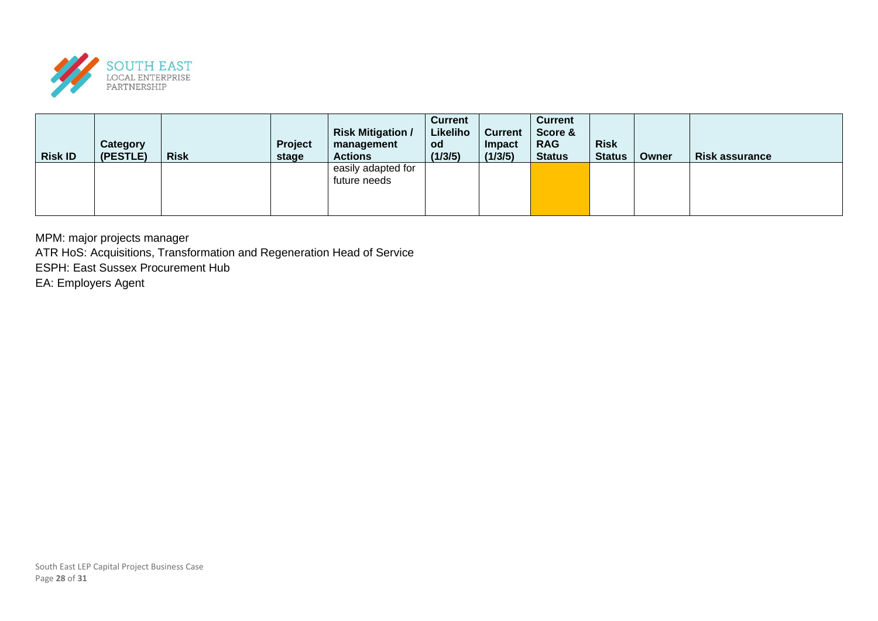

| <b>Risk ID</b> | Category<br>(PESTLE) | <b>Risk</b> | Project<br>stage | <b>Risk Mitigation /</b><br>management<br><b>Actions</b> | <b>Current</b><br>Likeliho<br><b>od</b><br>(1/3/5) | <b>Current</b><br>Impact<br>(1/3/5) | <b>Current</b><br>Score &<br><b>RAG</b><br><b>Status</b> | <b>Risk</b><br><b>Status</b> | Owner | <b>Risk assurance</b> |
|----------------|----------------------|-------------|------------------|----------------------------------------------------------|----------------------------------------------------|-------------------------------------|----------------------------------------------------------|------------------------------|-------|-----------------------|
|                |                      |             |                  | easily adapted for<br>future needs                       |                                                    |                                     |                                                          |                              |       |                       |

MPM: major projects manager

ATR HoS: Acquisitions, Transformation and Regeneration Head of Service

ESPH: East Sussex Procurement Hub

EA: Employers Agent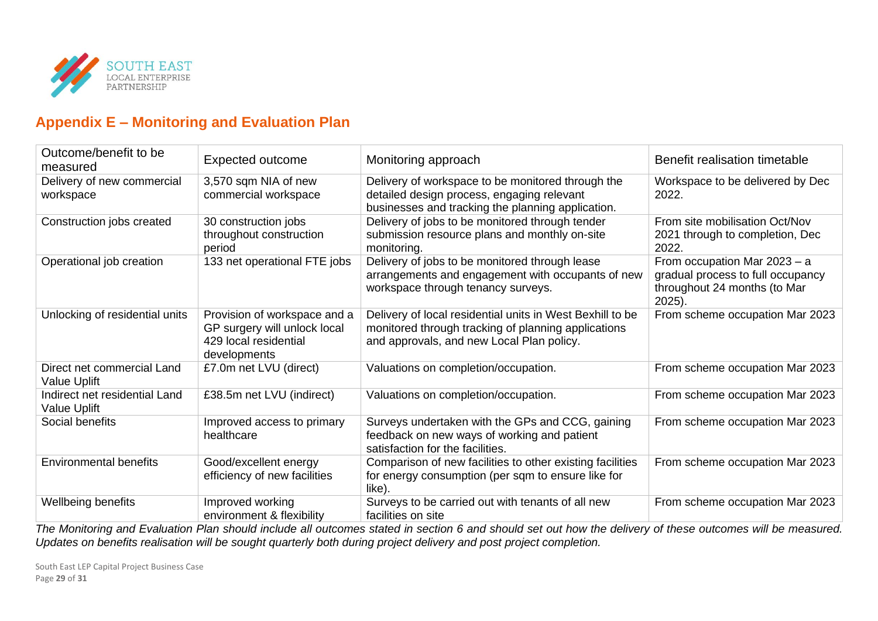

## **Appendix E – Monitoring and Evaluation Plan**

| Outcome/benefit to be<br>measured                    | <b>Expected outcome</b>                                                                               | Monitoring approach                                                                                                                                           | Benefit realisation timetable                                                                                 |
|------------------------------------------------------|-------------------------------------------------------------------------------------------------------|---------------------------------------------------------------------------------------------------------------------------------------------------------------|---------------------------------------------------------------------------------------------------------------|
| Delivery of new commercial<br>workspace              | 3,570 sqm NIA of new<br>commercial workspace                                                          | Delivery of workspace to be monitored through the<br>detailed design process, engaging relevant<br>businesses and tracking the planning application.          | Workspace to be delivered by Dec<br>2022.                                                                     |
| Construction jobs created                            | 30 construction jobs<br>throughout construction<br>period                                             | Delivery of jobs to be monitored through tender<br>submission resource plans and monthly on-site<br>monitoring.                                               | From site mobilisation Oct/Nov<br>2021 through to completion, Dec<br>2022.                                    |
| Operational job creation                             | 133 net operational FTE jobs                                                                          | Delivery of jobs to be monitored through lease<br>arrangements and engagement with occupants of new<br>workspace through tenancy surveys.                     | From occupation Mar $2023 - a$<br>gradual process to full occupancy<br>throughout 24 months (to Mar<br>2025). |
| Unlocking of residential units                       | Provision of workspace and a<br>GP surgery will unlock local<br>429 local residential<br>developments | Delivery of local residential units in West Bexhill to be<br>monitored through tracking of planning applications<br>and approvals, and new Local Plan policy. | From scheme occupation Mar 2023                                                                               |
| Direct net commercial Land<br><b>Value Uplift</b>    | £7.0m net LVU (direct)                                                                                | Valuations on completion/occupation.                                                                                                                          | From scheme occupation Mar 2023                                                                               |
| Indirect net residential Land<br><b>Value Uplift</b> | £38.5m net LVU (indirect)                                                                             | Valuations on completion/occupation.                                                                                                                          | From scheme occupation Mar 2023                                                                               |
| Social benefits                                      | Improved access to primary<br>healthcare                                                              | Surveys undertaken with the GPs and CCG, gaining<br>feedback on new ways of working and patient<br>satisfaction for the facilities.                           | From scheme occupation Mar 2023                                                                               |
| <b>Environmental benefits</b>                        | Good/excellent energy<br>efficiency of new facilities                                                 | Comparison of new facilities to other existing facilities<br>for energy consumption (per sqm to ensure like for<br>like).                                     | From scheme occupation Mar 2023                                                                               |
| Wellbeing benefits                                   | Improved working<br>environment & flexibility                                                         | Surveys to be carried out with tenants of all new<br>facilities on site                                                                                       | From scheme occupation Mar 2023                                                                               |

*The Monitoring and Evaluation Plan should include all outcomes stated in section 6 and should set out how the delivery of these outcomes will be measured. Updates on benefits realisation will be sought quarterly both during project delivery and post project completion.*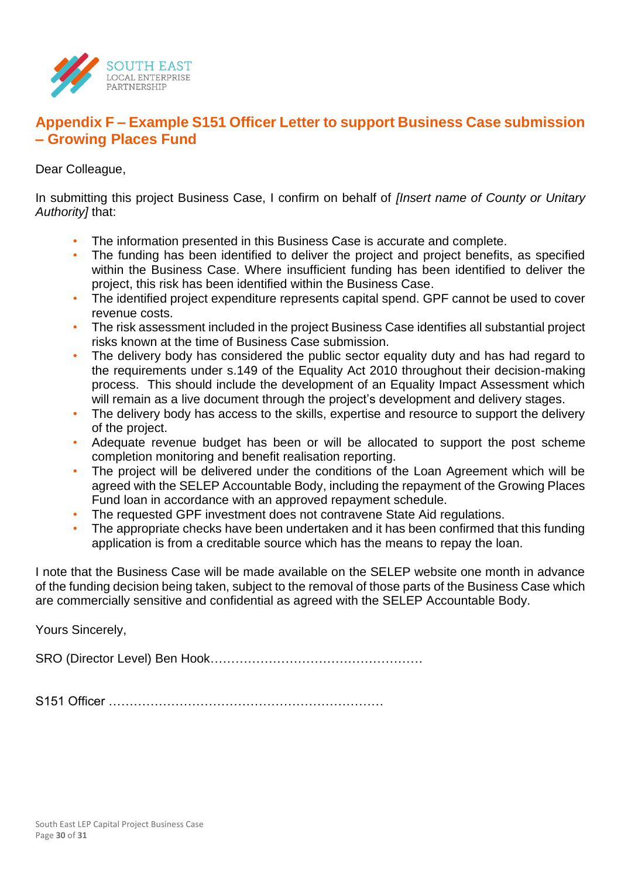

## **Appendix F – Example S151 Officer Letter to support Business Case submission – Growing Places Fund**

Dear Colleague,

In submitting this project Business Case, I confirm on behalf of *[Insert name of County or Unitary Authority]* that:

- The information presented in this Business Case is accurate and complete.
- The funding has been identified to deliver the project and project benefits, as specified within the Business Case. Where insufficient funding has been identified to deliver the project, this risk has been identified within the Business Case.
- The identified project expenditure represents capital spend. GPF cannot be used to cover revenue costs.
- The risk assessment included in the project Business Case identifies all substantial project risks known at the time of Business Case submission.
- The delivery body has considered the public sector equality duty and has had regard to the requirements under s.149 of the Equality Act 2010 throughout their decision-making process. This should include the development of an Equality Impact Assessment which will remain as a live document through the project's development and delivery stages.
- The delivery body has access to the skills, expertise and resource to support the delivery of the project.
- Adequate revenue budget has been or will be allocated to support the post scheme completion monitoring and benefit realisation reporting.
- The project will be delivered under the conditions of the Loan Agreement which will be agreed with the SELEP Accountable Body, including the repayment of the Growing Places Fund loan in accordance with an approved repayment schedule.
- The requested GPF investment does not contravene State Aid regulations.
- The appropriate checks have been undertaken and it has been confirmed that this funding application is from a creditable source which has the means to repay the loan.

I note that the Business Case will be made available on the SELEP website one month in advance of the funding decision being taken, subject to the removal of those parts of the Business Case which are commercially sensitive and confidential as agreed with the SELEP Accountable Body.

Yours Sincerely,

SRO (Director Level) Ben Hook……………………………………………

S151 Officer …………………………………………………………